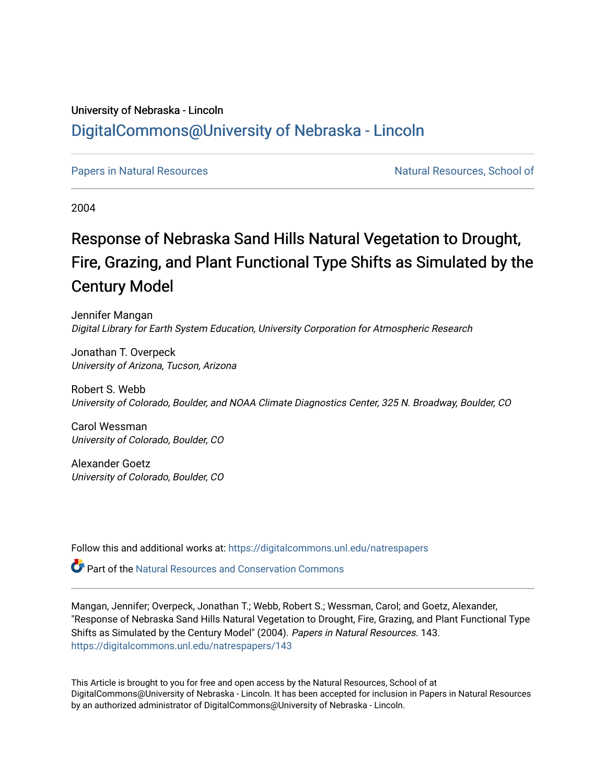# University of Nebraska - Lincoln [DigitalCommons@University of Nebraska - Lincoln](https://digitalcommons.unl.edu/)

[Papers in Natural Resources](https://digitalcommons.unl.edu/natrespapers) Natural Resources, School of

2004

# Response of Nebraska Sand Hills Natural Vegetation to Drought, Fire, Grazing, and Plant Functional Type Shifts as Simulated by the Century Model

Jennifer Mangan Digital Library for Earth System Education, University Corporation for Atmospheric Research

Jonathan T. Overpeck University of Arizona, Tucson, Arizona

Robert S. Webb University of Colorado, Boulder, and NOAA Climate Diagnostics Center, 325 N. Broadway, Boulder, CO

Carol Wessman University of Colorado, Boulder, CO

Alexander Goetz University of Colorado, Boulder, CO

Follow this and additional works at: [https://digitalcommons.unl.edu/natrespapers](https://digitalcommons.unl.edu/natrespapers?utm_source=digitalcommons.unl.edu%2Fnatrespapers%2F143&utm_medium=PDF&utm_campaign=PDFCoverPages)

 $\bullet$  Part of the Natural Resources and Conservation Commons

Mangan, Jennifer; Overpeck, Jonathan T.; Webb, Robert S.; Wessman, Carol; and Goetz, Alexander, "Response of Nebraska Sand Hills Natural Vegetation to Drought, Fire, Grazing, and Plant Functional Type Shifts as Simulated by the Century Model" (2004). Papers in Natural Resources. 143. [https://digitalcommons.unl.edu/natrespapers/143](https://digitalcommons.unl.edu/natrespapers/143?utm_source=digitalcommons.unl.edu%2Fnatrespapers%2F143&utm_medium=PDF&utm_campaign=PDFCoverPages)

This Article is brought to you for free and open access by the Natural Resources, School of at DigitalCommons@University of Nebraska - Lincoln. It has been accepted for inclusion in Papers in Natural Resources by an authorized administrator of DigitalCommons@University of Nebraska - Lincoln.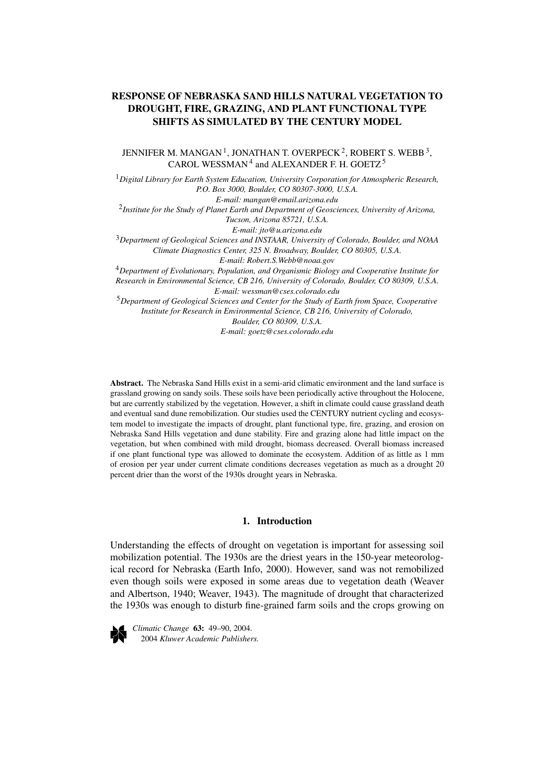# **RESPONSE OF NEBRASKA SAND HILLS NATURAL VEGETATION TO DROUGHT, FIRE, GRAZING, AND PLANT FUNCTIONAL TYPE SHIFTS AS SIMULATED BY THE CENTURY MODEL**

JENNIFER M. MANGAN<sup>1</sup>, JONATHAN T. OVERPECK<sup>2</sup>, ROBERT S. WEBB<sup>3</sup>, CAROL WESSMAN<sup>4</sup> and ALEXANDER F. H. GOETZ<sup>5</sup>

<sup>1</sup>*Digital Library for Earth System Education, University Corporation for Atmospheric Research, P.O. Box 3000, Boulder, CO 80307-3000, U.S.A.*

*E-mail: mangan@email.arizona.edu* <sup>2</sup>*Institute for the Study of Planet Earth and Department of Geosciences, University of Arizona, Tucson, Arizona 85721, U.S.A.*

*E-mail: jto@u.arizona.edu*

<sup>3</sup>*Department of Geological Sciences and INSTAAR, University of Colorado, Boulder, and NOAA Climate Diagnostics Center, 325 N. Broadway, Boulder, CO 80305, U.S.A.*

*E-mail: Robert.S.Webb@noaa.gov*

<sup>4</sup>*Department of Evolutionary, Population, and Organismic Biology and Cooperative Institute for Research in Environmental Science, CB 216, University of Colorado, Boulder, CO 80309, U.S.A. E-mail: wessman@cses.colorado.edu*

<sup>5</sup>*Department of Geological Sciences and Center for the Study of Earth from Space, Cooperative Institute for Research in Environmental Science, CB 216, University of Colorado,*

*Boulder, CO 80309, U.S.A.*

*E-mail: goetz@cses.colorado.edu*

**Abstract.** The Nebraska Sand Hills exist in a semi-arid climatic environment and the land surface is grassland growing on sandy soils. These soils have been periodically active throughout the Holocene, but are currently stabilized by the vegetation. However, a shift in climate could cause grassland death and eventual sand dune remobilization. Our studies used the CENTURY nutrient cycling and ecosystem model to investigate the impacts of drought, plant functional type, fire, grazing, and erosion on Nebraska Sand Hills vegetation and dune stability. Fire and grazing alone had little impact on the vegetation, but when combined with mild drought, biomass decreased. Overall biomass increased if one plant functional type was allowed to dominate the ecosystem. Addition of as little as 1 mm of erosion per year under current climate conditions decreases vegetation as much as a drought 20 percent drier than the worst of the 1930s drought years in Nebraska.

# **1. Introduction**

Understanding the effects of drought on vegetation is important for assessing soil mobilization potential. The 1930s are the driest years in the 150-year meteorological record for Nebraska (Earth Info, 2000). However, sand was not remobilized even though soils were exposed in some areas due to vegetation death (Weaver and Albertson, 1940; Weaver, 1943). The magnitude of drought that characterized the 1930s was enough to disturb fine-grained farm soils and the crops growing on



*Climatic Change* **63:** 49–90, 2004. 2004 *Kluwer Academic Publishers.*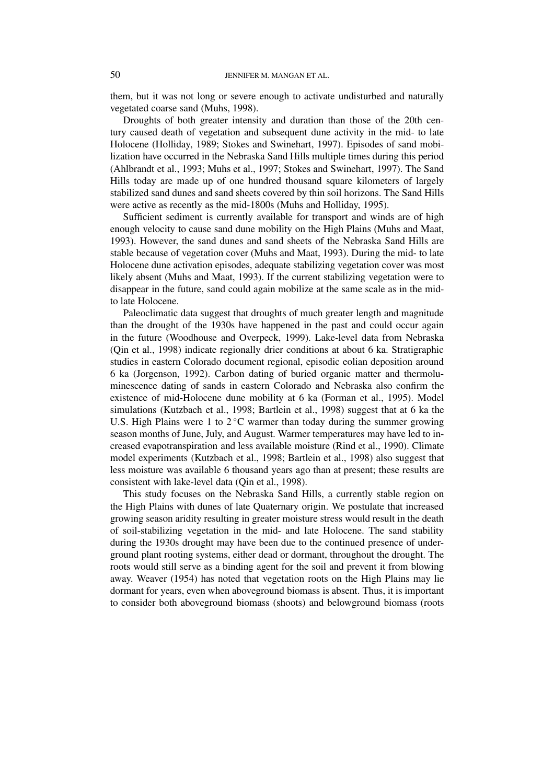them, but it was not long or severe enough to activate undisturbed and naturally vegetated coarse sand (Muhs, 1998).

Droughts of both greater intensity and duration than those of the 20th century caused death of vegetation and subsequent dune activity in the mid- to late Holocene (Holliday, 1989; Stokes and Swinehart, 1997). Episodes of sand mobilization have occurred in the Nebraska Sand Hills multiple times during this period (Ahlbrandt et al., 1993; Muhs et al., 1997; Stokes and Swinehart, 1997). The Sand Hills today are made up of one hundred thousand square kilometers of largely stabilized sand dunes and sand sheets covered by thin soil horizons. The Sand Hills were active as recently as the mid-1800s (Muhs and Holliday, 1995).

Sufficient sediment is currently available for transport and winds are of high enough velocity to cause sand dune mobility on the High Plains (Muhs and Maat, 1993). However, the sand dunes and sand sheets of the Nebraska Sand Hills are stable because of vegetation cover (Muhs and Maat, 1993). During the mid- to late Holocene dune activation episodes, adequate stabilizing vegetation cover was most likely absent (Muhs and Maat, 1993). If the current stabilizing vegetation were to disappear in the future, sand could again mobilize at the same scale as in the midto late Holocene.

Paleoclimatic data suggest that droughts of much greater length and magnitude than the drought of the 1930s have happened in the past and could occur again in the future (Woodhouse and Overpeck, 1999). Lake-level data from Nebraska (Qin et al., 1998) indicate regionally drier conditions at about 6 ka. Stratigraphic studies in eastern Colorado document regional, episodic eolian deposition around 6 ka (Jorgenson, 1992). Carbon dating of buried organic matter and thermoluminescence dating of sands in eastern Colorado and Nebraska also confirm the existence of mid-Holocene dune mobility at 6 ka (Forman et al., 1995). Model simulations (Kutzbach et al., 1998; Bartlein et al., 1998) suggest that at 6 ka the U.S. High Plains were 1 to  $2^{\circ}$ C warmer than today during the summer growing season months of June, July, and August. Warmer temperatures may have led to increased evapotranspiration and less available moisture (Rind et al., 1990). Climate model experiments (Kutzbach et al., 1998; Bartlein et al., 1998) also suggest that less moisture was available 6 thousand years ago than at present; these results are consistent with lake-level data (Qin et al., 1998).

This study focuses on the Nebraska Sand Hills, a currently stable region on the High Plains with dunes of late Quaternary origin. We postulate that increased growing season aridity resulting in greater moisture stress would result in the death of soil-stabilizing vegetation in the mid- and late Holocene. The sand stability during the 1930s drought may have been due to the continued presence of underground plant rooting systems, either dead or dormant, throughout the drought. The roots would still serve as a binding agent for the soil and prevent it from blowing away. Weaver (1954) has noted that vegetation roots on the High Plains may lie dormant for years, even when aboveground biomass is absent. Thus, it is important to consider both aboveground biomass (shoots) and belowground biomass (roots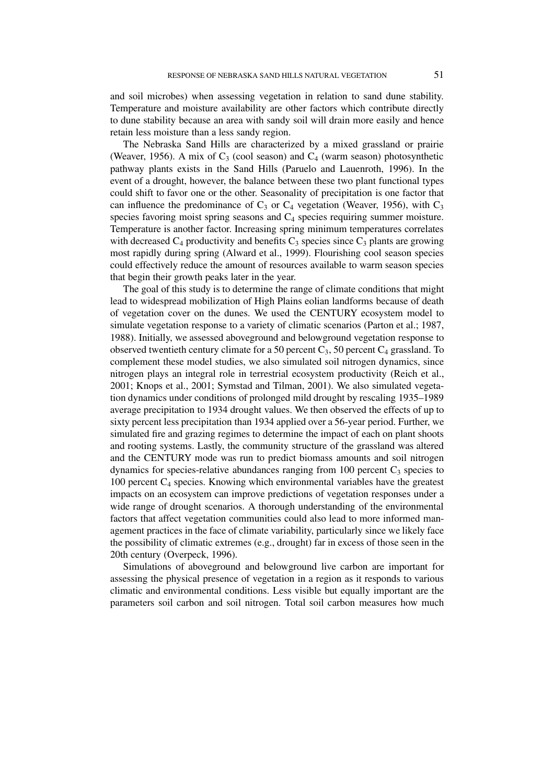and soil microbes) when assessing vegetation in relation to sand dune stability. Temperature and moisture availability are other factors which contribute directly to dune stability because an area with sandy soil will drain more easily and hence retain less moisture than a less sandy region.

The Nebraska Sand Hills are characterized by a mixed grassland or prairie (Weaver, 1956). A mix of  $C_3$  (cool season) and  $C_4$  (warm season) photosynthetic pathway plants exists in the Sand Hills (Paruelo and Lauenroth, 1996). In the event of a drought, however, the balance between these two plant functional types could shift to favor one or the other. Seasonality of precipitation is one factor that can influence the predominance of  $C_3$  or  $C_4$  vegetation (Weaver, 1956), with  $C_3$ species favoring moist spring seasons and C<sub>4</sub> species requiring summer moisture. Temperature is another factor. Increasing spring minimum temperatures correlates with decreased  $C_4$  productivity and benefits  $C_3$  species since  $C_3$  plants are growing most rapidly during spring (Alward et al., 1999). Flourishing cool season species could effectively reduce the amount of resources available to warm season species that begin their growth peaks later in the year.

The goal of this study is to determine the range of climate conditions that might lead to widespread mobilization of High Plains eolian landforms because of death of vegetation cover on the dunes. We used the CENTURY ecosystem model to simulate vegetation response to a variety of climatic scenarios (Parton et al.; 1987, 1988). Initially, we assessed aboveground and belowground vegetation response to observed twentieth century climate for a 50 percent  $C_3$ , 50 percent  $C_4$  grassland. To complement these model studies, we also simulated soil nitrogen dynamics, since nitrogen plays an integral role in terrestrial ecosystem productivity (Reich et al., 2001; Knops et al., 2001; Symstad and Tilman, 2001). We also simulated vegetation dynamics under conditions of prolonged mild drought by rescaling 1935–1989 average precipitation to 1934 drought values. We then observed the effects of up to sixty percent less precipitation than 1934 applied over a 56-year period. Further, we simulated fire and grazing regimes to determine the impact of each on plant shoots and rooting systems. Lastly, the community structure of the grassland was altered and the CENTURY mode was run to predict biomass amounts and soil nitrogen dynamics for species-relative abundances ranging from 100 percent  $C_3$  species to 100 percent C4 species. Knowing which environmental variables have the greatest impacts on an ecosystem can improve predictions of vegetation responses under a wide range of drought scenarios. A thorough understanding of the environmental factors that affect vegetation communities could also lead to more informed management practices in the face of climate variability, particularly since we likely face the possibility of climatic extremes (e.g., drought) far in excess of those seen in the 20th century (Overpeck, 1996).

Simulations of aboveground and belowground live carbon are important for assessing the physical presence of vegetation in a region as it responds to various climatic and environmental conditions. Less visible but equally important are the parameters soil carbon and soil nitrogen. Total soil carbon measures how much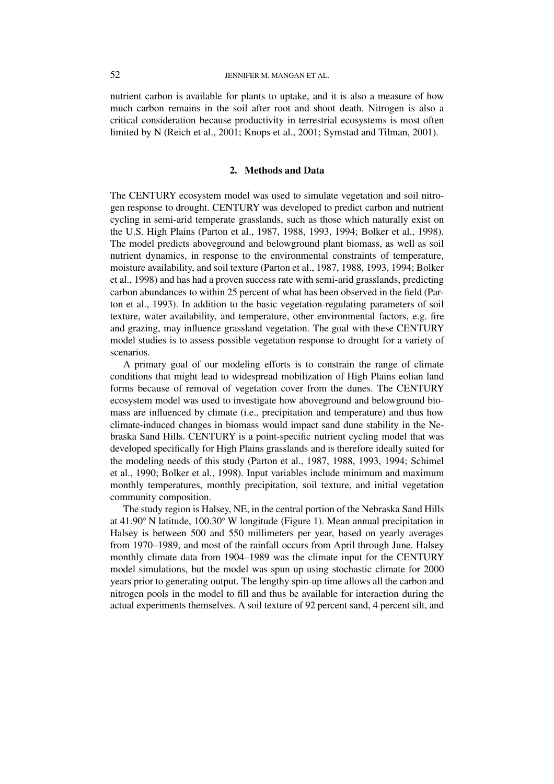nutrient carbon is available for plants to uptake, and it is also a measure of how much carbon remains in the soil after root and shoot death. Nitrogen is also a critical consideration because productivity in terrestrial ecosystems is most often limited by N (Reich et al., 2001; Knops et al., 2001; Symstad and Tilman, 2001).

# **2. Methods and Data**

The CENTURY ecosystem model was used to simulate vegetation and soil nitrogen response to drought. CENTURY was developed to predict carbon and nutrient cycling in semi-arid temperate grasslands, such as those which naturally exist on the U.S. High Plains (Parton et al., 1987, 1988, 1993, 1994; Bolker et al., 1998). The model predicts aboveground and belowground plant biomass, as well as soil nutrient dynamics, in response to the environmental constraints of temperature, moisture availability, and soil texture (Parton et al., 1987, 1988, 1993, 1994; Bolker et al., 1998) and has had a proven success rate with semi-arid grasslands, predicting carbon abundances to within 25 percent of what has been observed in the field (Parton et al., 1993). In addition to the basic vegetation-regulating parameters of soil texture, water availability, and temperature, other environmental factors, e.g. fire and grazing, may influence grassland vegetation. The goal with these CENTURY model studies is to assess possible vegetation response to drought for a variety of scenarios.

A primary goal of our modeling efforts is to constrain the range of climate conditions that might lead to widespread mobilization of High Plains eolian land forms because of removal of vegetation cover from the dunes. The CENTURY ecosystem model was used to investigate how aboveground and belowground biomass are influenced by climate (i.e., precipitation and temperature) and thus how climate-induced changes in biomass would impact sand dune stability in the Nebraska Sand Hills. CENTURY is a point-specific nutrient cycling model that was developed specifically for High Plains grasslands and is therefore ideally suited for the modeling needs of this study (Parton et al., 1987, 1988, 1993, 1994; Schimel et al., 1990; Bolker et al., 1998). Input variables include minimum and maximum monthly temperatures, monthly precipitation, soil texture, and initial vegetation community composition.

The study region is Halsey, NE, in the central portion of the Nebraska Sand Hills at 41.90◦ N latitude, 100.30◦ W longitude (Figure 1). Mean annual precipitation in Halsey is between 500 and 550 millimeters per year, based on yearly averages from 1970–1989, and most of the rainfall occurs from April through June. Halsey monthly climate data from 1904–1989 was the climate input for the CENTURY model simulations, but the model was spun up using stochastic climate for 2000 years prior to generating output. The lengthy spin-up time allows all the carbon and nitrogen pools in the model to fill and thus be available for interaction during the actual experiments themselves. A soil texture of 92 percent sand, 4 percent silt, and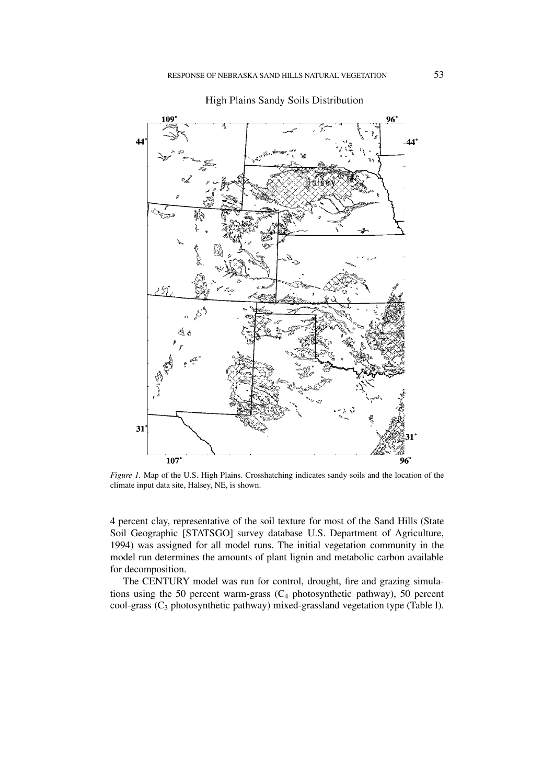

High Plains Sandy Soils Distribution

*Figure 1.* Map of the U.S. High Plains. Crosshatching indicates sandy soils and the location of the climate input data site, Halsey, NE, is shown.

4 percent clay, representative of the soil texture for most of the Sand Hills (State Soil Geographic [STATSGO] survey database U.S. Department of Agriculture, 1994) was assigned for all model runs. The initial vegetation community in the model run determines the amounts of plant lignin and metabolic carbon available for decomposition.

The CENTURY model was run for control, drought, fire and grazing simulations using the 50 percent warm-grass  $(C_4$  photosynthetic pathway), 50 percent cool-grass  $(C_3$  photosynthetic pathway) mixed-grassland vegetation type (Table I).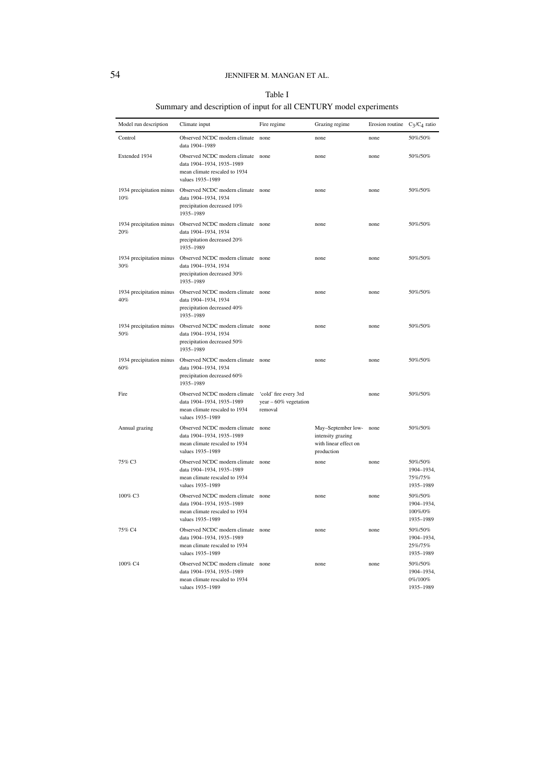| Table I                                                            |  |
|--------------------------------------------------------------------|--|
| Summary and description of input for all CENTURY model experiments |  |

| Model run description           | Climate input                                                                                                       | Fire regime                                                 | Grazing regime                                                                 | Erosion routine | $C_3/C_4$ ratio                               |
|---------------------------------|---------------------------------------------------------------------------------------------------------------------|-------------------------------------------------------------|--------------------------------------------------------------------------------|-----------------|-----------------------------------------------|
| Control                         | Observed NCDC modern climate<br>data 1904-1989                                                                      | none                                                        | none                                                                           | none            | 50%/50%                                       |
| Extended 1934                   | Observed NCDC modern climate none<br>data 1904-1934, 1935-1989<br>mean climate rescaled to 1934<br>values 1935-1989 |                                                             | none                                                                           | none            | 50%/50%                                       |
| 1934 precipitation minus<br>10% | Observed NCDC modern climate none<br>data 1904-1934, 1934<br>precipitation decreased 10%<br>1935-1989               |                                                             | none                                                                           | none            | 50%/50%                                       |
| 1934 precipitation minus<br>20% | Observed NCDC modern climate none<br>data 1904-1934, 1934<br>precipitation decreased 20%<br>1935-1989               |                                                             | none                                                                           | none            | 50%/50%                                       |
| 1934 precipitation minus<br>30% | Observed NCDC modern climate none<br>data 1904-1934, 1934<br>precipitation decreased 30%<br>1935-1989               |                                                             | none                                                                           | none            | 50%/50%                                       |
| 1934 precipitation minus<br>40% | Observed NCDC modern climate none<br>data 1904-1934, 1934<br>precipitation decreased 40%<br>1935-1989               |                                                             | none                                                                           | none            | 50%/50%                                       |
| 1934 precipitation minus<br>50% | Observed NCDC modern climate none<br>data 1904-1934, 1934<br>precipitation decreased 50%<br>1935-1989               |                                                             | none                                                                           | none            | 50%/50%                                       |
| 1934 precipitation minus<br>60% | Observed NCDC modern climate none<br>data 1904-1934, 1934<br>precipitation decreased 60%<br>1935-1989               |                                                             | none                                                                           | none            | 50%/50%                                       |
| Fire                            | Observed NCDC modern climate<br>data 1904-1934, 1935-1989<br>mean climate rescaled to 1934<br>values 1935-1989      | 'cold' fire every 3rd<br>year $-60\%$ vegetation<br>removal |                                                                                | none            | 50%/50%                                       |
| Annual grazing                  | Observed NCDC modern climate none<br>data 1904-1934, 1935-1989<br>mean climate rescaled to 1934<br>values 1935-1989 |                                                             | May-September low-<br>intensity grazing<br>with linear effect on<br>production | none            | 50%/50%                                       |
| 75% C3                          | Observed NCDC modern climate none<br>data 1904-1934, 1935-1989<br>mean climate rescaled to 1934<br>values 1935-1989 |                                                             | none                                                                           | none            | 50%/50%<br>1904-1934,<br>75%/75%<br>1935-1989 |
| 100% C3                         | Observed NCDC modern climate<br>data 1904-1934, 1935-1989<br>mean climate rescaled to 1934<br>values 1935-1989      | none                                                        | none                                                                           | none            | 50%/50%<br>1904-1934,<br>100%/0%<br>1935-1989 |
| 75% C4                          | Observed NCDC modern climate none<br>data 1904-1934, 1935-1989<br>mean climate rescaled to 1934<br>values 1935-1989 |                                                             | none                                                                           | none            | 50%/50%<br>1904-1934,<br>25%/75%<br>1935-1989 |
| 100% C4                         | Observed NCDC modern climate none<br>data 1904-1934, 1935-1989<br>mean climate rescaled to 1934<br>values 1935-1989 |                                                             | none                                                                           | none            | 50%/50%<br>1904-1934,<br>0%/100%<br>1935-1989 |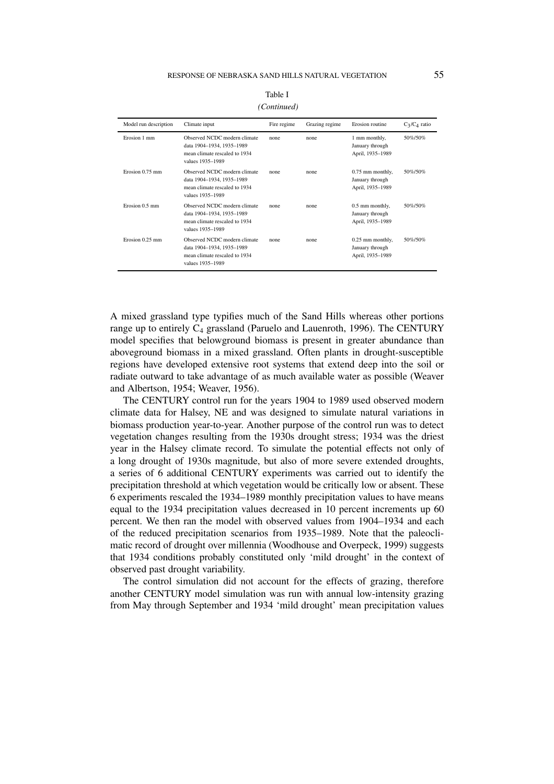| Model run description | Climate input                                                                                                  | Fire regime | Grazing regime | Erosion routine                                         | $C_3/C_4$ ratio |
|-----------------------|----------------------------------------------------------------------------------------------------------------|-------------|----------------|---------------------------------------------------------|-----------------|
| Erosion 1 mm          | Observed NCDC modern climate<br>data 1904-1934, 1935-1989<br>mean climate rescaled to 1934<br>values 1935-1989 | none        | none           | 1 mm monthly,<br>January through<br>April, 1935-1989    | 50%/50%         |
| Erosion 0.75 mm       | Observed NCDC modern climate<br>data 1904-1934, 1935-1989<br>mean climate rescaled to 1934<br>values 1935-1989 | none        | none           | 0.75 mm monthly,<br>January through<br>April, 1935-1989 | 50%/50%         |
| Erosion $0.5$ mm      | Observed NCDC modern climate<br>data 1904-1934, 1935-1989<br>mean climate rescaled to 1934<br>values 1935-1989 | none        | none           | 0.5 mm monthly,<br>January through<br>April, 1935-1989  | 50%/50%         |
| Erosion 0.25 mm       | Observed NCDC modern climate<br>data 1904-1934, 1935-1989<br>mean climate rescaled to 1934<br>values 1935-1989 | none        | none           | 0.25 mm monthly,<br>January through<br>April, 1935-1989 | 50%/50%         |

Table I *(Continued)*

A mixed grassland type typifies much of the Sand Hills whereas other portions range up to entirely  $C_4$  grassland (Paruelo and Lauenroth, 1996). The CENTURY model specifies that belowground biomass is present in greater abundance than aboveground biomass in a mixed grassland. Often plants in drought-susceptible regions have developed extensive root systems that extend deep into the soil or radiate outward to take advantage of as much available water as possible (Weaver and Albertson, 1954; Weaver, 1956).

The CENTURY control run for the years 1904 to 1989 used observed modern climate data for Halsey, NE and was designed to simulate natural variations in biomass production year-to-year. Another purpose of the control run was to detect vegetation changes resulting from the 1930s drought stress; 1934 was the driest year in the Halsey climate record. To simulate the potential effects not only of a long drought of 1930s magnitude, but also of more severe extended droughts, a series of 6 additional CENTURY experiments was carried out to identify the precipitation threshold at which vegetation would be critically low or absent. These 6 experiments rescaled the 1934–1989 monthly precipitation values to have means equal to the 1934 precipitation values decreased in 10 percent increments up 60 percent. We then ran the model with observed values from 1904–1934 and each of the reduced precipitation scenarios from 1935–1989. Note that the paleoclimatic record of drought over millennia (Woodhouse and Overpeck, 1999) suggests that 1934 conditions probably constituted only 'mild drought' in the context of observed past drought variability.

The control simulation did not account for the effects of grazing, therefore another CENTURY model simulation was run with annual low-intensity grazing from May through September and 1934 'mild drought' mean precipitation values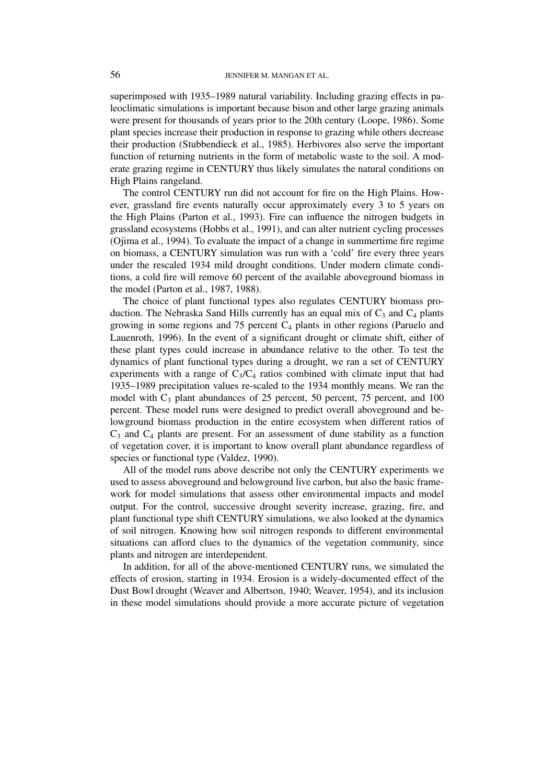superimposed with 1935–1989 natural variability. Including grazing effects in paleoclimatic simulations is important because bison and other large grazing animals were present for thousands of years prior to the 20th century (Loope, 1986). Some plant species increase their production in response to grazing while others decrease their production (Stubbendieck et al., 1985). Herbivores also serve the important function of returning nutrients in the form of metabolic waste to the soil. A moderate grazing regime in CENTURY thus likely simulates the natural conditions on High Plains rangeland.

The control CENTURY run did not account for fire on the High Plains. However, grassland fire events naturally occur approximately every 3 to 5 years on the High Plains (Parton et al., 1993). Fire can influence the nitrogen budgets in grassland ecosystems (Hobbs et al., 1991), and can alter nutrient cycling processes (Ojima et al., 1994). To evaluate the impact of a change in summertime fire regime on biomass, a CENTURY simulation was run with a 'cold' fire every three years under the rescaled 1934 mild drought conditions. Under modern climate conditions, a cold fire will remove 60 percent of the available aboveground biomass in the model (Parton et al., 1987, 1988).

The choice of plant functional types also regulates CENTURY biomass production. The Nebraska Sand Hills currently has an equal mix of  $C_3$  and  $C_4$  plants growing in some regions and 75 percent  $C_4$  plants in other regions (Paruelo and Lauenroth, 1996). In the event of a significant drought or climate shift, either of these plant types could increase in abundance relative to the other. To test the dynamics of plant functional types during a drought, we ran a set of CENTURY experiments with a range of  $C_3/C_4$  ratios combined with climate input that had 1935–1989 precipitation values re-scaled to the 1934 monthly means. We ran the model with  $C_3$  plant abundances of 25 percent, 50 percent, 75 percent, and 100 percent. These model runs were designed to predict overall aboveground and belowground biomass production in the entire ecosystem when different ratios of  $C_3$  and  $C_4$  plants are present. For an assessment of dune stability as a function of vegetation cover, it is important to know overall plant abundance regardless of species or functional type (Valdez, 1990).

All of the model runs above describe not only the CENTURY experiments we used to assess aboveground and belowground live carbon, but also the basic framework for model simulations that assess other environmental impacts and model output. For the control, successive drought severity increase, grazing, fire, and plant functional type shift CENTURY simulations, we also looked at the dynamics of soil nitrogen. Knowing how soil nitrogen responds to different environmental situations can afford clues to the dynamics of the vegetation community, since plants and nitrogen are interdependent.

In addition, for all of the above-mentioned CENTURY runs, we simulated the effects of erosion, starting in 1934. Erosion is a widely-documented effect of the Dust Bowl drought (Weaver and Albertson, 1940; Weaver, 1954), and its inclusion in these model simulations should provide a more accurate picture of vegetation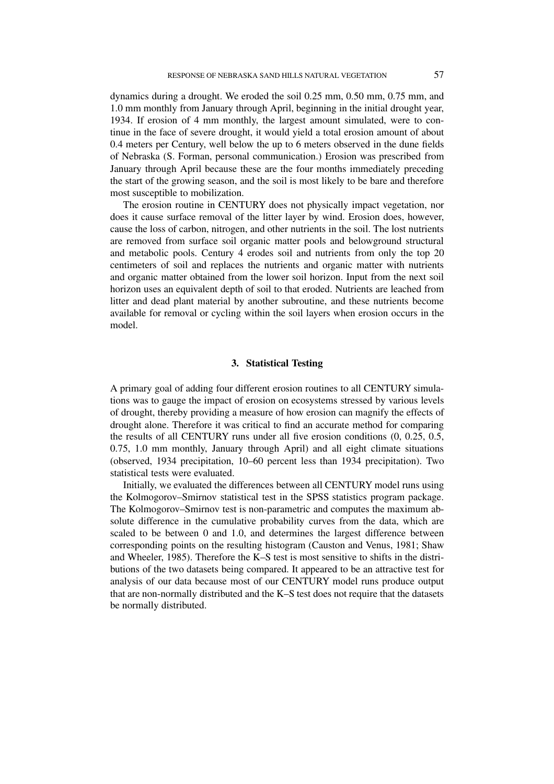dynamics during a drought. We eroded the soil 0.25 mm, 0.50 mm, 0.75 mm, and 1.0 mm monthly from January through April, beginning in the initial drought year, 1934. If erosion of 4 mm monthly, the largest amount simulated, were to continue in the face of severe drought, it would yield a total erosion amount of about 0.4 meters per Century, well below the up to 6 meters observed in the dune fields of Nebraska (S. Forman, personal communication.) Erosion was prescribed from January through April because these are the four months immediately preceding the start of the growing season, and the soil is most likely to be bare and therefore most susceptible to mobilization.

The erosion routine in CENTURY does not physically impact vegetation, nor does it cause surface removal of the litter layer by wind. Erosion does, however, cause the loss of carbon, nitrogen, and other nutrients in the soil. The lost nutrients are removed from surface soil organic matter pools and belowground structural and metabolic pools. Century 4 erodes soil and nutrients from only the top 20 centimeters of soil and replaces the nutrients and organic matter with nutrients and organic matter obtained from the lower soil horizon. Input from the next soil horizon uses an equivalent depth of soil to that eroded. Nutrients are leached from litter and dead plant material by another subroutine, and these nutrients become available for removal or cycling within the soil layers when erosion occurs in the model.

# **3. Statistical Testing**

A primary goal of adding four different erosion routines to all CENTURY simulations was to gauge the impact of erosion on ecosystems stressed by various levels of drought, thereby providing a measure of how erosion can magnify the effects of drought alone. Therefore it was critical to find an accurate method for comparing the results of all CENTURY runs under all five erosion conditions (0, 0.25, 0.5, 0.75, 1.0 mm monthly, January through April) and all eight climate situations (observed, 1934 precipitation, 10–60 percent less than 1934 precipitation). Two statistical tests were evaluated.

Initially, we evaluated the differences between all CENTURY model runs using the Kolmogorov–Smirnov statistical test in the SPSS statistics program package. The Kolmogorov–Smirnov test is non-parametric and computes the maximum absolute difference in the cumulative probability curves from the data, which are scaled to be between 0 and 1.0, and determines the largest difference between corresponding points on the resulting histogram (Causton and Venus, 1981; Shaw and Wheeler, 1985). Therefore the K–S test is most sensitive to shifts in the distributions of the two datasets being compared. It appeared to be an attractive test for analysis of our data because most of our CENTURY model runs produce output that are non-normally distributed and the K–S test does not require that the datasets be normally distributed.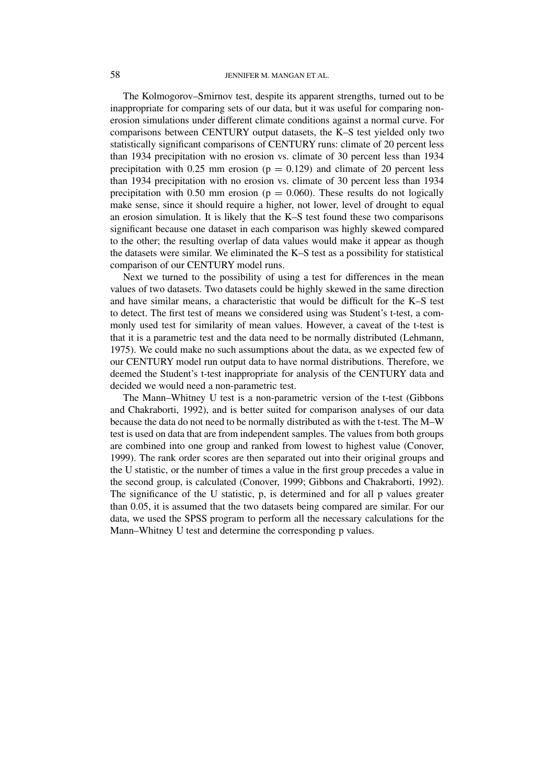The Kolmogorov–Smirnov test, despite its apparent strengths, turned out to be inappropriate for comparing sets of our data, but it was useful for comparing nonerosion simulations under different climate conditions against a normal curve. For comparisons between CENTURY output datasets, the K–S test yielded only two statistically significant comparisons of CENTURY runs: climate of 20 percent less than 1934 precipitation with no erosion vs. climate of 30 percent less than 1934 precipitation with 0.25 mm erosion ( $p = 0.129$ ) and climate of 20 percent less than 1934 precipitation with no erosion vs. climate of 30 percent less than 1934 precipitation with 0.50 mm erosion ( $p = 0.060$ ). These results do not logically make sense, since it should require a higher, not lower, level of drought to equal an erosion simulation. It is likely that the K–S test found these two comparisons significant because one dataset in each comparison was highly skewed compared to the other; the resulting overlap of data values would make it appear as though the datasets were similar. We eliminated the K–S test as a possibility for statistical comparison of our CENTURY model runs.

Next we turned to the possibility of using a test for differences in the mean values of two datasets. Two datasets could be highly skewed in the same direction and have similar means, a characteristic that would be difficult for the K–S test to detect. The first test of means we considered using was Student's t-test, a commonly used test for similarity of mean values. However, a caveat of the t-test is that it is a parametric test and the data need to be normally distributed (Lehmann, 1975). We could make no such assumptions about the data, as we expected few of our CENTURY model run output data to have normal distributions. Therefore, we deemed the Student's t-test inappropriate for analysis of the CENTURY data and decided we would need a non-parametric test.

The Mann–Whitney U test is a non-parametric version of the t-test (Gibbons and Chakraborti, 1992), and is better suited for comparison analyses of our data because the data do not need to be normally distributed as with the t-test. The M–W test is used on data that are from independent samples. The values from both groups are combined into one group and ranked from lowest to highest value (Conover, 1999). The rank order scores are then separated out into their original groups and the U statistic, or the number of times a value in the first group precedes a value in the second group, is calculated (Conover, 1999; Gibbons and Chakraborti, 1992). The significance of the U statistic, p, is determined and for all p values greater than 0.05, it is assumed that the two datasets being compared are similar. For our data, we used the SPSS program to perform all the necessary calculations for the Mann–Whitney U test and determine the corresponding p values.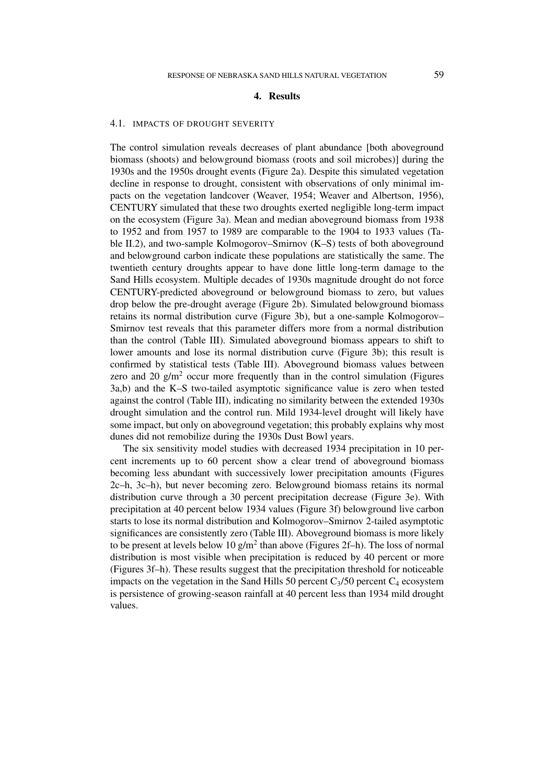#### **4. Results**

#### 4.1. IMPACTS OF DROUGHT SEVERITY

The control simulation reveals decreases of plant abundance [both aboveground biomass (shoots) and belowground biomass (roots and soil microbes)] during the 1930s and the 1950s drought events (Figure 2a). Despite this simulated vegetation decline in response to drought, consistent with observations of only minimal impacts on the vegetation landcover (Weaver, 1954; Weaver and Albertson, 1956), CENTURY simulated that these two droughts exerted negligible long-term impact on the ecosystem (Figure 3a). Mean and median aboveground biomass from 1938 to 1952 and from 1957 to 1989 are comparable to the 1904 to 1933 values (Table II.2), and two-sample Kolmogorov–Smirnov (K–S) tests of both aboveground and belowground carbon indicate these populations are statistically the same. The twentieth century droughts appear to have done little long-term damage to the Sand Hills ecosystem. Multiple decades of 1930s magnitude drought do not force CENTURY-predicted aboveground or belowground biomass to zero, but values drop below the pre-drought average (Figure 2b). Simulated belowground biomass retains its normal distribution curve (Figure 3b), but a one-sample Kolmogorov– Smirnov test reveals that this parameter differs more from a normal distribution than the control (Table III). Simulated aboveground biomass appears to shift to lower amounts and lose its normal distribution curve (Figure 3b); this result is confirmed by statistical tests (Table III). Aboveground biomass values between zero and 20  $g/m^2$  occur more frequently than in the control simulation (Figures 3a,b) and the K–S two-tailed asymptotic significance value is zero when tested against the control (Table III), indicating no similarity between the extended 1930s drought simulation and the control run. Mild 1934-level drought will likely have some impact, but only on aboveground vegetation; this probably explains why most dunes did not remobilize during the 1930s Dust Bowl years.

The six sensitivity model studies with decreased 1934 precipitation in 10 percent increments up to 60 percent show a clear trend of aboveground biomass becoming less abundant with successively lower precipitation amounts (Figures 2c–h, 3c–h), but never becoming zero. Belowground biomass retains its normal distribution curve through a 30 percent precipitation decrease (Figure 3e). With precipitation at 40 percent below 1934 values (Figure 3f) belowground live carbon starts to lose its normal distribution and Kolmogorov–Smirnov 2-tailed asymptotic significances are consistently zero (Table III). Aboveground biomass is more likely to be present at levels below 10  $g/m^2$  than above (Figures 2f–h). The loss of normal distribution is most visible when precipitation is reduced by 40 percent or more (Figures 3f–h). These results suggest that the precipitation threshold for noticeable impacts on the vegetation in the Sand Hills 50 percent  $C_3/50$  percent  $C_4$  ecosystem is persistence of growing-season rainfall at 40 percent less than 1934 mild drought values.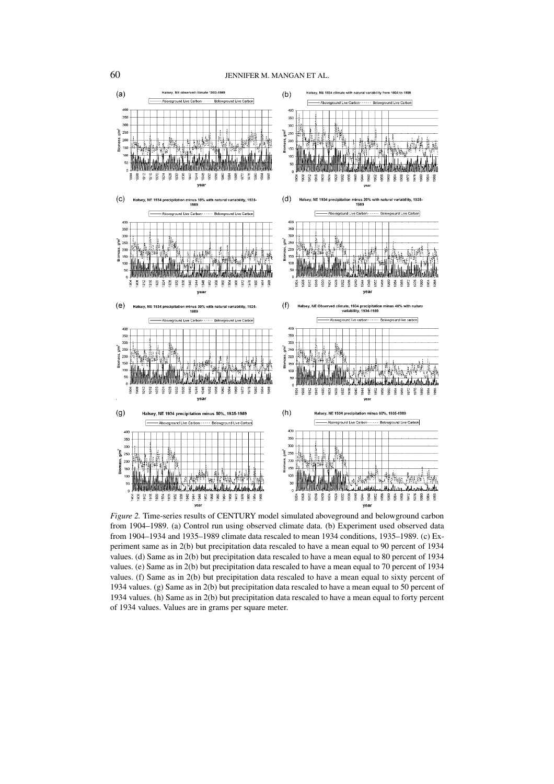

*Figure 2.* Time-series results of CENTURY model simulated aboveground and belowground carbon from 1904–1989. (a) Control run using observed climate data. (b) Experiment used observed data from 1904–1934 and 1935–1989 climate data rescaled to mean 1934 conditions, 1935–1989. (c) Experiment same as in 2(b) but precipitation data rescaled to have a mean equal to 90 percent of 1934 values. (d) Same as in 2(b) but precipitation data rescaled to have a mean equal to 80 percent of 1934 values. (e) Same as in 2(b) but precipitation data rescaled to have a mean equal to 70 percent of 1934 values. (f) Same as in 2(b) but precipitation data rescaled to have a mean equal to sixty percent of 1934 values. (g) Same as in 2(b) but precipitation data rescaled to have a mean equal to 50 percent of 1934 values. (h) Same as in 2(b) but precipitation data rescaled to have a mean equal to forty percent of 1934 values. Values are in grams per square meter.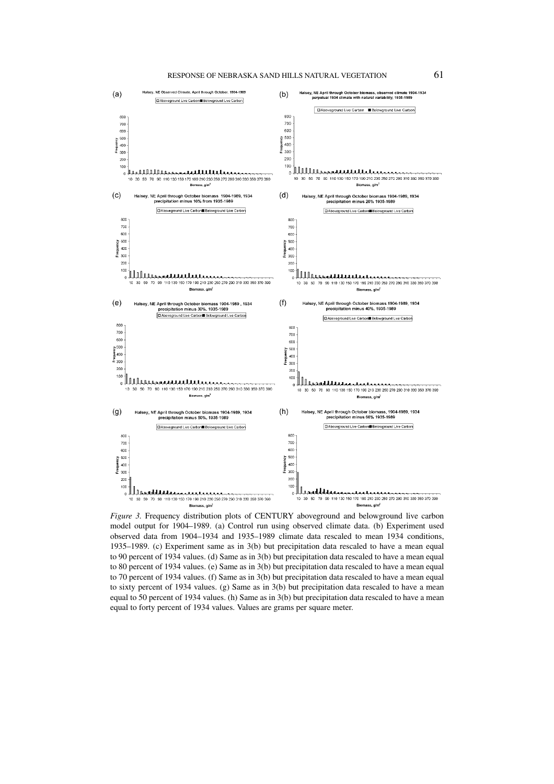

*Figure 3.* Frequency distribution plots of CENTURY aboveground and belowground live carbon model output for 1904–1989. (a) Control run using observed climate data. (b) Experiment used observed data from 1904–1934 and 1935–1989 climate data rescaled to mean 1934 conditions, 1935–1989. (c) Experiment same as in 3(b) but precipitation data rescaled to have a mean equal to 90 percent of 1934 values. (d) Same as in 3(b) but precipitation data rescaled to have a mean equal to 80 percent of 1934 values. (e) Same as in 3(b) but precipitation data rescaled to have a mean equal to 70 percent of 1934 values. (f) Same as in 3(b) but precipitation data rescaled to have a mean equal to sixty percent of 1934 values. (g) Same as in 3(b) but precipitation data rescaled to have a mean equal to 50 percent of 1934 values. (h) Same as in 3(b) but precipitation data rescaled to have a mean equal to forty percent of 1934 values. Values are grams per square meter.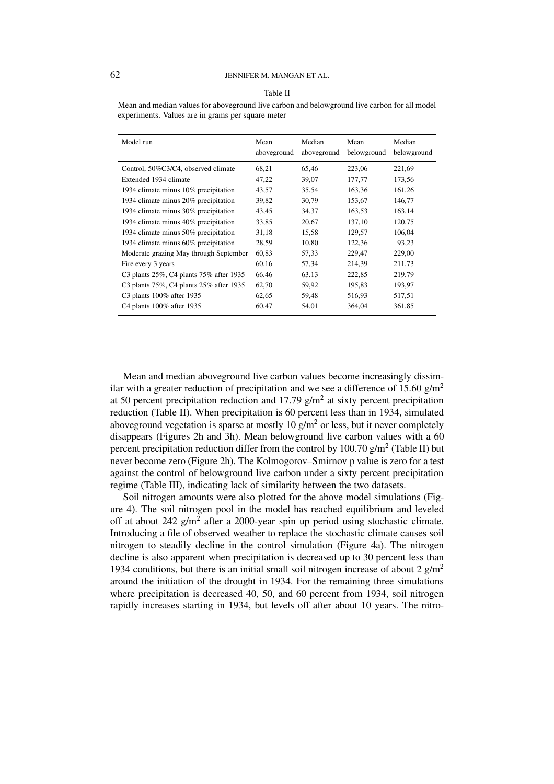#### Table II

| Model run                                      | Mean        | Median      | Mean        | Median      |
|------------------------------------------------|-------------|-------------|-------------|-------------|
|                                                | aboveground | aboveground | belowground | belowground |
| Control, 50%C3/C4, observed climate            | 68,21       | 65,46       | 223,06      | 221,69      |
| Extended 1934 climate                          | 47,22       | 39,07       | 177,77      | 173,56      |
| 1934 climate minus 10% precipitation           | 43,57       | 35,54       | 163,36      | 161,26      |
| 1934 climate minus 20% precipitation           | 39,82       | 30,79       | 153,67      | 146,77      |
| 1934 climate minus 30% precipitation           | 43,45       | 34,37       | 163,53      | 163,14      |
| 1934 climate minus 40% precipitation           | 33,85       | 20,67       | 137,10      | 120,75      |
| 1934 climate minus 50% precipitation           | 31,18       | 15,58       | 129,57      | 106,04      |
| 1934 climate minus 60% precipitation           | 28,59       | 10,80       | 122,36      | 93,23       |
| Moderate grazing May through September         | 60,83       | 57,33       | 229,47      | 229,00      |
| Fire every 3 years                             | 60,16       | 57,34       | 214,39      | 211,73      |
| C3 plants $25\%$ , C4 plants $75\%$ after 1935 | 66,46       | 63,13       | 222,85      | 219,79      |
| C3 plants 75%, C4 plants 25% after 1935        | 62,70       | 59,92       | 195,83      | 193,97      |
| C3 plants 100% after 1935                      | 62,65       | 59,48       | 516,93      | 517,51      |
| C4 plants 100% after 1935                      | 60,47       | 54,01       | 364,04      | 361,85      |
|                                                |             |             |             |             |

Mean and median values for aboveground live carbon and belowground live carbon for all model experiments. Values are in grams per square meter

Mean and median aboveground live carbon values become increasingly dissimilar with a greater reduction of precipitation and we see a difference of 15.60 g/m<sup>2</sup> at 50 percent precipitation reduction and 17.79  $g/m<sup>2</sup>$  at sixty percent precipitation reduction (Table II). When precipitation is 60 percent less than in 1934, simulated aboveground vegetation is sparse at mostly 10  $\frac{g}{m^2}$  or less, but it never completely disappears (Figures 2h and 3h). Mean belowground live carbon values with a 60 percent precipitation reduction differ from the control by 100.70  $g/m^2$  (Table II) but never become zero (Figure 2h). The Kolmogorov–Smirnov p value is zero for a test against the control of belowground live carbon under a sixty percent precipitation regime (Table III), indicating lack of similarity between the two datasets.

Soil nitrogen amounts were also plotted for the above model simulations (Figure 4). The soil nitrogen pool in the model has reached equilibrium and leveled off at about 242  $g/m^2$  after a 2000-year spin up period using stochastic climate. Introducing a file of observed weather to replace the stochastic climate causes soil nitrogen to steadily decline in the control simulation (Figure 4a). The nitrogen decline is also apparent when precipitation is decreased up to 30 percent less than 1934 conditions, but there is an initial small soil nitrogen increase of about 2  $g/m<sup>2</sup>$ around the initiation of the drought in 1934. For the remaining three simulations where precipitation is decreased 40, 50, and 60 percent from 1934, soil nitrogen rapidly increases starting in 1934, but levels off after about 10 years. The nitro-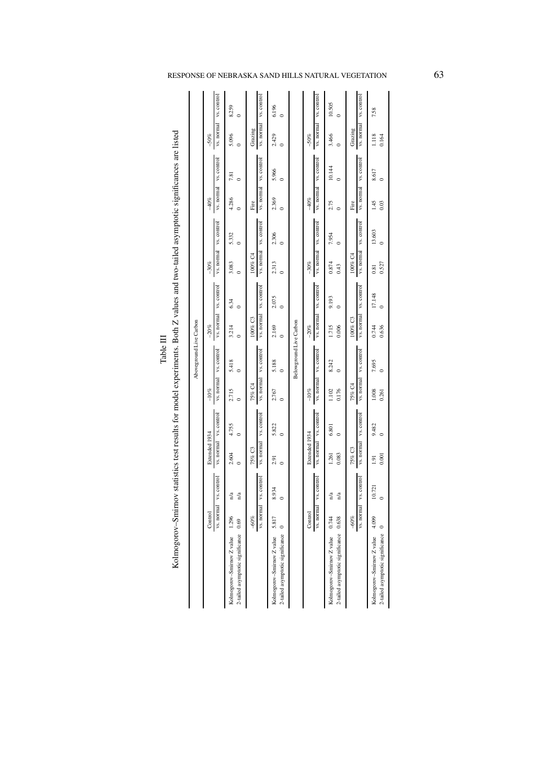| г |  |
|---|--|

Kolmogorov-Smirnov statistics test results for model experiments. Both Z values and two-tailed asymptotic significances are listed Kolmogorov–Smirnov statistics test results for model experiments. Both Z values and two-tailed asymptotic significances are listed

|                                                                            |            |                  |                  |                        |                  | Aboveground Live Carbon  |                  |                   |                        |                   |                  |                   |                  |                   |
|----------------------------------------------------------------------------|------------|------------------|------------------|------------------------|------------------|--------------------------|------------------|-------------------|------------------------|-------------------|------------------|-------------------|------------------|-------------------|
|                                                                            | Control    |                  | Extended 1934    |                        | $-10%$           |                          | $-20%$           |                   | $-30%$                 |                   | $-40%$           |                   | $-50%$           |                   |
|                                                                            | vs. normal | vs. control      |                  | vs. normal vs. control | vs. normal       | vs. control              | vs. normal       | vs. control       | vs. normal vs. control |                   | vs. normal       | vs. control       | vs. normal       | vs. control       |
| Kolmogorov-Smirnov Z value 1.296<br>2-tailed asymptotic significance 0.69  |            | n/a<br>n/a       | 2.604<br>$\circ$ | 4.755<br>$\circ$       | 2.715<br>$\circ$ | 5.418<br>$\circ$         | 3.214<br>$\circ$ | 6.34<br>$\circ$   | 3.083<br>$\circ$       | 5.332<br>$\circ$  | 4.286<br>$\circ$ | 7.81<br>$\circ$   | 5.096<br>$\circ$ | 8.259<br>$\circ$  |
|                                                                            | $-60%$     |                  | 75% C3           |                        | 75% C4           |                          | $100\%$ C3       |                   | 100% C4                |                   | Fire             |                   | Grazing          |                   |
|                                                                            | vs. normal | vs. control      |                  | vs. normal vs. control | vs. normal       | vs. control              | vs. normal       | vs. control       | vs. normal             | vs. control       | vs. normal       | vs. control       | vs. normal       | vs. control       |
| Kolmogorov-Smirnov Z value 5.817<br>2-tailed asymptotic significance 0     |            | 8.934<br>$\circ$ | 2.91<br>$\circ$  | 5.822<br>$\circ$       | 2.767<br>$\circ$ | 5.188<br>$\circ$         | 2.169<br>$\circ$ | 2.075<br>$\circ$  | 2.313<br>$\circ$       | 2.306<br>$\circ$  | 2.369<br>$\circ$ | 5.966<br>$\circ$  | 2.429<br>$\circ$ | 6.196<br>$\circ$  |
|                                                                            |            |                  |                  |                        |                  | Below ground Live Carbon |                  |                   |                        |                   |                  |                   |                  |                   |
|                                                                            | Control    |                  | Extended 1934    |                        | $-10%$           |                          | $-20%$           |                   | $-30%$                 |                   | $-40%$           |                   | $-50%$           |                   |
|                                                                            | vs. normal | vs. control      |                  | vs. normal vs. control | vs. normal       | vs. control              | vs. normal       | vs. control       | vs. normal vs. control |                   | vs. normal       | vs. control       | vs. normal       | vs. control       |
| Kolmogorov-Smirnov Z value 0.744<br>2-tailed asymptotic significance 0.638 |            | n/a<br>n/a       | 0.083<br>1.261   | 6.801<br>$\circ$       | 1.102<br>0.176   | 8.242<br>$\circ$         | 1.715<br>0.006   | 9.193<br>$\circ$  | 0.874<br>0.43          | 7.954<br>$\circ$  | 2.75<br>$\circ$  | 10.144<br>$\circ$ | 3.466<br>$\circ$ | 10.505<br>$\circ$ |
|                                                                            | $-60%$     |                  | 75% C3           |                        | 75% C4           |                          | $100\%$ C3       |                   | 100% C4                |                   | Fire             |                   | Grazing          |                   |
|                                                                            | vs. normal | vs. control      |                  | vs. normal vs. control | vs. normal       | vs. control              | vs. normal       | vs. control       | vs. normal             | vs. control       | vs. normal       | vs. control       | vs. normal       | vs. control       |
| Kolmogorov-Smirnov Z value 4.099<br>2-tailed asymptotic significance       |            | 10.721           | 0.001<br>1.91    | 9.482<br>$\circ$       | 1.008<br>0.261   | 7.695                    | 0.744<br>0.636   | 17.148<br>$\circ$ | 0.527<br>0.81          | 13.603<br>$\circ$ | 1.45<br>0.03     | 8.617             | 1.118<br>0.164   | 7.58              |

# RESPONSE OF NEBRASKA SAND HILLS NATURAL VEGETATION 63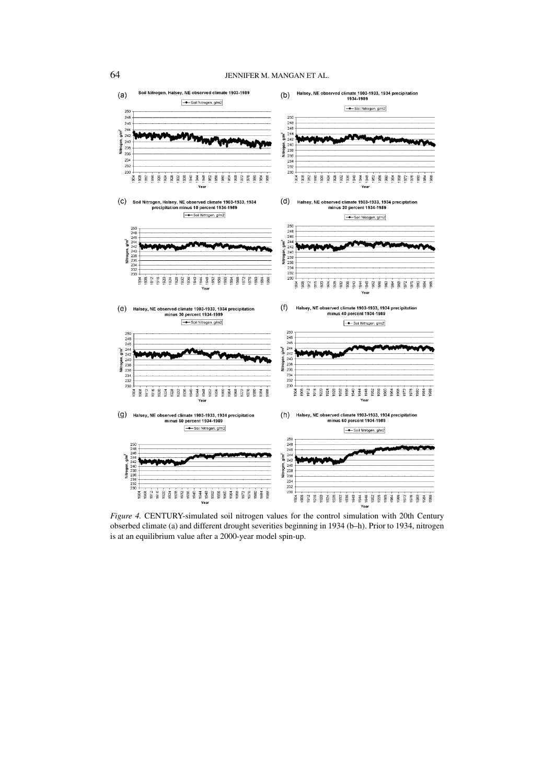

*Figure 4.* CENTURY-simulated soil nitrogen values for the control simulation with 20th Century obserbed climate (a) and different drought severities beginning in 1934 (b–h). Prior to 1934, nitrogen is at an equilibrium value after a 2000-year model spin-up.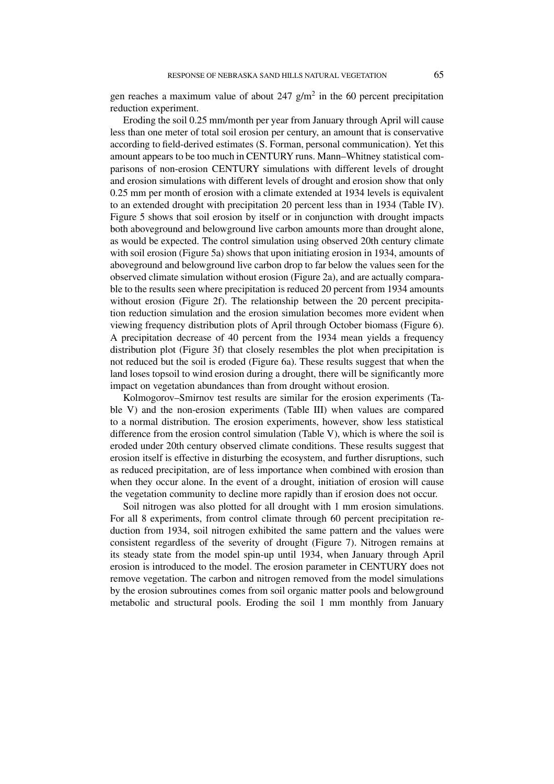gen reaches a maximum value of about 247  $g/m^2$  in the 60 percent precipitation reduction experiment.

Eroding the soil 0.25 mm/month per year from January through April will cause less than one meter of total soil erosion per century, an amount that is conservative according to field-derived estimates (S. Forman, personal communication). Yet this amount appears to be too much in CENTURY runs. Mann–Whitney statistical comparisons of non-erosion CENTURY simulations with different levels of drought and erosion simulations with different levels of drought and erosion show that only 0.25 mm per month of erosion with a climate extended at 1934 levels is equivalent to an extended drought with precipitation 20 percent less than in 1934 (Table IV). Figure 5 shows that soil erosion by itself or in conjunction with drought impacts both aboveground and belowground live carbon amounts more than drought alone, as would be expected. The control simulation using observed 20th century climate with soil erosion (Figure 5a) shows that upon initiating erosion in 1934, amounts of aboveground and belowground live carbon drop to far below the values seen for the observed climate simulation without erosion (Figure 2a), and are actually comparable to the results seen where precipitation is reduced 20 percent from 1934 amounts without erosion (Figure 2f). The relationship between the 20 percent precipitation reduction simulation and the erosion simulation becomes more evident when viewing frequency distribution plots of April through October biomass (Figure 6). A precipitation decrease of 40 percent from the 1934 mean yields a frequency distribution plot (Figure 3f) that closely resembles the plot when precipitation is not reduced but the soil is eroded (Figure 6a). These results suggest that when the land loses topsoil to wind erosion during a drought, there will be significantly more impact on vegetation abundances than from drought without erosion.

Kolmogorov–Smirnov test results are similar for the erosion experiments (Table V) and the non-erosion experiments (Table III) when values are compared to a normal distribution. The erosion experiments, however, show less statistical difference from the erosion control simulation (Table V), which is where the soil is eroded under 20th century observed climate conditions. These results suggest that erosion itself is effective in disturbing the ecosystem, and further disruptions, such as reduced precipitation, are of less importance when combined with erosion than when they occur alone. In the event of a drought, initiation of erosion will cause the vegetation community to decline more rapidly than if erosion does not occur.

Soil nitrogen was also plotted for all drought with 1 mm erosion simulations. For all 8 experiments, from control climate through 60 percent precipitation reduction from 1934, soil nitrogen exhibited the same pattern and the values were consistent regardless of the severity of drought (Figure 7). Nitrogen remains at its steady state from the model spin-up until 1934, when January through April erosion is introduced to the model. The erosion parameter in CENTURY does not remove vegetation. The carbon and nitrogen removed from the model simulations by the erosion subroutines comes from soil organic matter pools and belowground metabolic and structural pools. Eroding the soil 1 mm monthly from January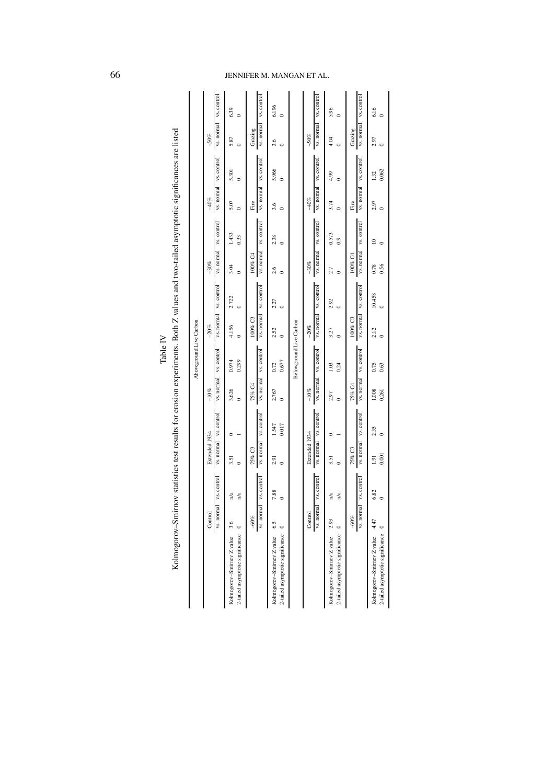|                                                                       |                        |                 |                        |                |                  | Aboveground Live Carbon |                        |                   |                 |                   |                        |                  |                 |                  |
|-----------------------------------------------------------------------|------------------------|-----------------|------------------------|----------------|------------------|-------------------------|------------------------|-------------------|-----------------|-------------------|------------------------|------------------|-----------------|------------------|
|                                                                       | Control                |                 | Extended 1934          |                | $-10%$           |                         | $-20%$                 |                   | $-30%$          |                   | 40%                    |                  | $-50%$          |                  |
|                                                                       | vs. normal             | vs. control     | vs. normal vs. control |                | vs. normal       | vs. control             | vs. normal vs. control |                   | vs. normal      | vs. control       | vs. normal vs. control |                  | vs. normal      | vs. control      |
| Kolmogorov-Smirnov Z value 3.6<br>2-tailed asymptotic significance 0  |                        | n/a<br>n/a      | 351<br>$\circ$         |                | 3.626<br>$\circ$ | 0.974<br>0.299          | 4.156<br>$\circ$       | 2.722<br>$\circ$  | 3.04<br>$\circ$ | 1.433<br>0.33     | 5.07<br>$\circ$        | 5.301<br>$\circ$ | 5.87<br>$\circ$ | 6.39<br>$\circ$  |
|                                                                       | $-60%$                 |                 | 75% C3                 |                | 75% C4           |                         | $100\%$ C3             |                   | 100% C4         |                   | Fire                   |                  | Grazing         |                  |
|                                                                       | vs. normal             | vs. control     | vs. normal             | vs. control    | vs. normal       | vs. control             | vs. normal             | vs. control       | vs. normal      | vs. control       | vs. normal             | vs. control      | vs. normal      | vs. control      |
| 2-tailed asymptotic significance 0<br>Kolmogorov-Smirnov Z value      | 6.5                    | 7.88<br>$\circ$ | 2.91<br>$\circ$        | 1.547<br>0.017 | 2.767<br>$\circ$ | 0.677<br>0.72           | 2.52<br>$\circ$        | 2.27<br>$\circ$   | 2.6<br>0        | 2.38<br>$\circ$   | 3.6<br>$\circ$         | 5.966<br>$\circ$ | 3.6<br>$\circ$  | 6.196<br>$\circ$ |
|                                                                       |                        |                 |                        |                |                  | Belowground Live Carbon |                        |                   |                 |                   |                        |                  |                 |                  |
|                                                                       | Control                |                 | Extended 1934          |                | $-10%$           |                         | $-20%$                 |                   | $-30%$          |                   | $-40%$                 |                  | $-50%$          |                  |
|                                                                       | vs. normal             | vs. control     | vs. normal             | vs. control    | vs. normal       | vs. control             | vs. normal             | vs. control       | vs. normal      | vs. control       | vs. normal             | vs. control      | vs. normal      | vs. control      |
| Kolmogorov-Smirnov Z value 2.93<br>2-tailed asymptotic significance 0 |                        | n/a<br>n/a      | 351<br>$\circ$         |                | 2.97<br>$\circ$  | 1.03<br>0.24            | 3.27<br>$\circ$        | 2.92<br>$\circ$   | 2.7<br>$\circ$  | 0.573<br>$_{0.9}$ | 3.74<br>$\circ$        | 4.99<br>$\circ$  | 4.04<br>$\circ$ | 5.96<br>$\circ$  |
|                                                                       | $-60%$                 |                 | 75% C3                 |                | 75% C4           |                         | $100\%$ C3             |                   | 100% C4         |                   | Fire                   |                  | Grazing         |                  |
|                                                                       | vs. normal vs. control |                 | vs. normal             | vs. control    | vs. normal       | vs. control             | vs. normal vs. control |                   | vs. normal      | vs. control       | vs. normal             | vs. control      | vs. normal      | vs. control      |
| 2-tailed asymptotic significance 0<br>Kolmogorov-Smirnov Z value      | 4.47                   | 6.82<br>$\circ$ | 0.001<br>1.91          | 2.35           | 1.008<br>0.261   | 0.75<br>0.63            | 2.12<br>$\circ$        | 10.458<br>$\circ$ | 0.78<br>0.56    | $\mathsf{D}$      | 2.97<br>$\circ$        | 0.062<br>1.32    | 2.97<br>$\circ$ | 6.16<br>$\circ$  |

Table IV

# 66 JENNIFER M. MANGAN ET AL.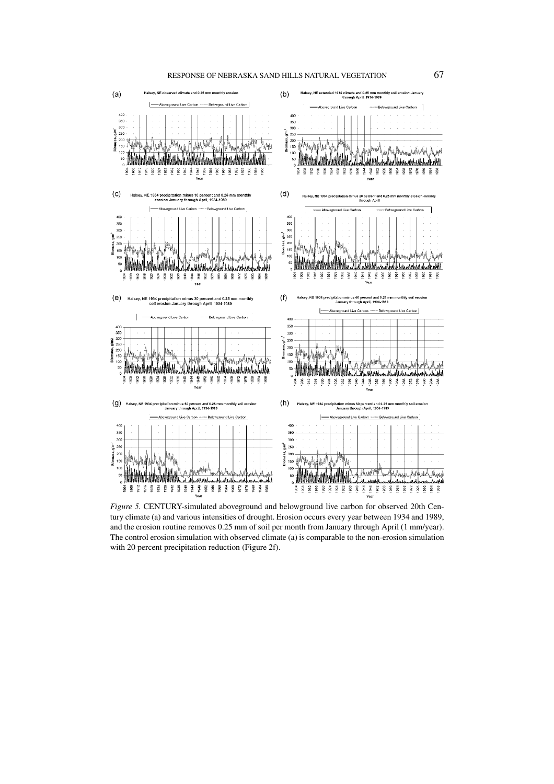

*Figure 5.* CENTURY-simulated aboveground and belowground live carbon for observed 20th Century climate (a) and various intensities of drought. Erosion occurs every year between 1934 and 1989, and the erosion routine removes 0.25 mm of soil per month from January through April (1 mm/year). The control erosion simulation with observed climate (a) is comparable to the non-erosion simulation with 20 percent precipitation reduction (Figure 2f).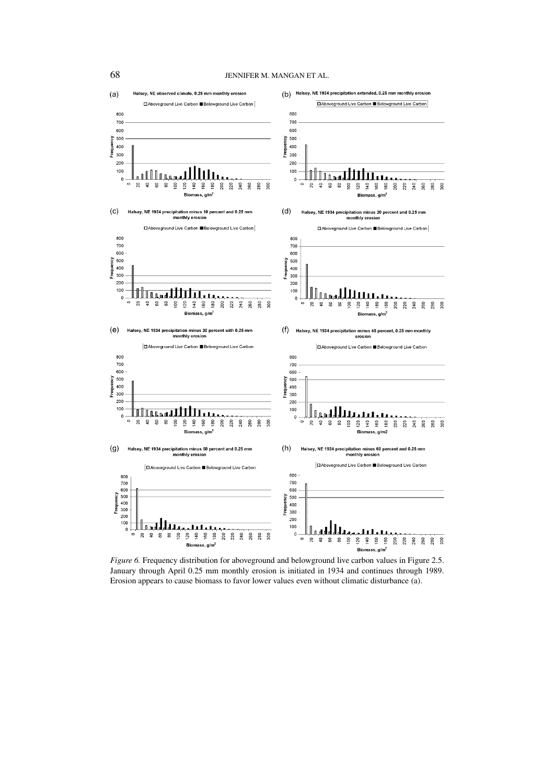



*Figure 6.* Frequency distribution for aboveground and belowground live carbon values in Figure 2.5. January through April 0.25 mm monthly erosion is initiated in 1934 and continues through 1989. Erosion appears to cause biomass to favor lower values even without climatic disturbance (a).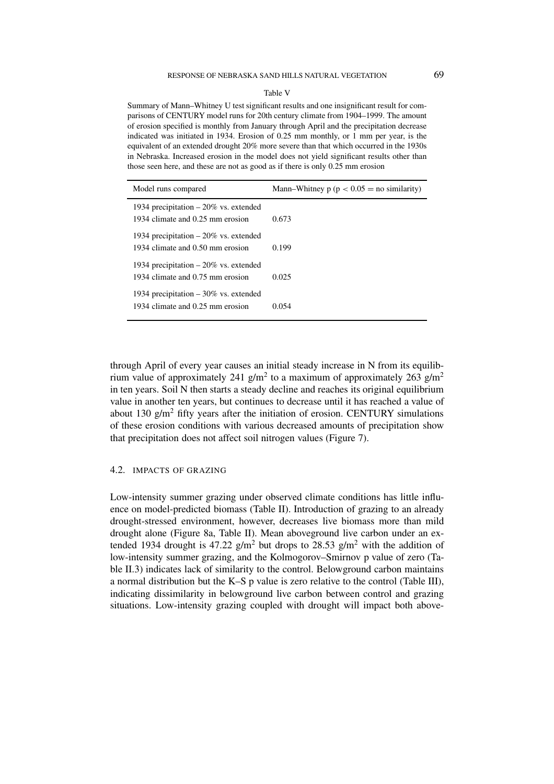#### Table V

Summary of Mann–Whitney U test significant results and one insignificant result for comparisons of CENTURY model runs for 20th century climate from 1904–1999. The amount of erosion specified is monthly from January through April and the precipitation decrease indicated was initiated in 1934. Erosion of 0.25 mm monthly, or 1 mm per year, is the equivalent of an extended drought 20% more severe than that which occurred in the 1930s in Nebraska. Increased erosion in the model does not yield significant results other than those seen here, and these are not as good as if there is only 0.25 mm erosion

| Model runs compared                                                         | Mann-Whitney $p (p < 0.05 = no similarity)$ |
|-----------------------------------------------------------------------------|---------------------------------------------|
| 1934 precipitation $-20\%$ vs. extended<br>1934 climate and 0.25 mm erosion | 0.673                                       |
| 1934 precipitation $-20\%$ vs. extended<br>1934 climate and 0.50 mm erosion | 0.199                                       |
| 1934 precipitation $-20\%$ vs. extended<br>1934 climate and 0.75 mm erosion | 0.025                                       |
| 1934 precipitation $-30\%$ vs. extended<br>1934 climate and 0.25 mm erosion | 0.054                                       |

through April of every year causes an initial steady increase in N from its equilibrium value of approximately 241 g/m<sup>2</sup> to a maximum of approximately 263 g/m<sup>2</sup> in ten years. Soil N then starts a steady decline and reaches its original equilibrium value in another ten years, but continues to decrease until it has reached a value of about 130  $g/m^2$  fifty years after the initiation of erosion. CENTURY simulations of these erosion conditions with various decreased amounts of precipitation show that precipitation does not affect soil nitrogen values (Figure 7).

# 4.2. IMPACTS OF GRAZING

Low-intensity summer grazing under observed climate conditions has little influence on model-predicted biomass (Table II). Introduction of grazing to an already drought-stressed environment, however, decreases live biomass more than mild drought alone (Figure 8a, Table II). Mean aboveground live carbon under an extended 1934 drought is 47.22 g/m<sup>2</sup> but drops to 28.53 g/m<sup>2</sup> with the addition of low-intensity summer grazing, and the Kolmogorov–Smirnov p value of zero (Table II.3) indicates lack of similarity to the control. Belowground carbon maintains a normal distribution but the K–S p value is zero relative to the control (Table III), indicating dissimilarity in belowground live carbon between control and grazing situations. Low-intensity grazing coupled with drought will impact both above-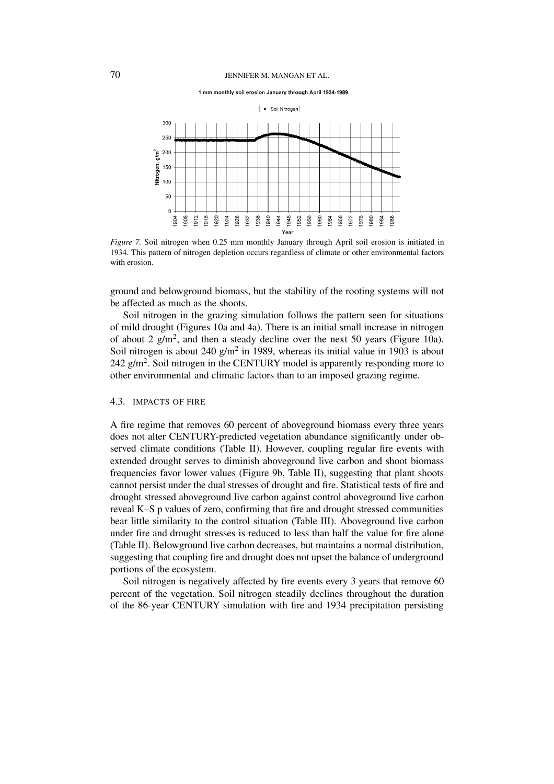#### 70 **JENNIFER M. MANGAN ET AL.**

1 mm monthly soil erosion January through April 1934-1989



*Figure 7.* Soil nitrogen when 0.25 mm monthly January through April soil erosion is initiated in 1934. This pattern of nitrogen depletion occurs regardless of climate or other environmental factors with erosion.

ground and belowground biomass, but the stability of the rooting systems will not be affected as much as the shoots.

Soil nitrogen in the grazing simulation follows the pattern seen for situations of mild drought (Figures 10a and 4a). There is an initial small increase in nitrogen of about 2  $g/m^2$ , and then a steady decline over the next 50 years (Figure 10a). Soil nitrogen is about 240 g/m<sup>2</sup> in 1989, whereas its initial value in 1903 is about  $242$  g/m<sup>2</sup>. Soil nitrogen in the CENTURY model is apparently responding more to other environmental and climatic factors than to an imposed grazing regime.

#### 4.3. IMPACTS OF FIRE

A fire regime that removes 60 percent of aboveground biomass every three years does not alter CENTURY-predicted vegetation abundance significantly under observed climate conditions (Table II). However, coupling regular fire events with extended drought serves to diminish aboveground live carbon and shoot biomass frequencies favor lower values (Figure 9b, Table II), suggesting that plant shoots cannot persist under the dual stresses of drought and fire. Statistical tests of fire and drought stressed aboveground live carbon against control aboveground live carbon reveal K–S p values of zero, confirming that fire and drought stressed communities bear little similarity to the control situation (Table III). Aboveground live carbon under fire and drought stresses is reduced to less than half the value for fire alone (Table II). Belowground live carbon decreases, but maintains a normal distribution, suggesting that coupling fire and drought does not upset the balance of underground portions of the ecosystem.

Soil nitrogen is negatively affected by fire events every 3 years that remove 60 percent of the vegetation. Soil nitrogen steadily declines throughout the duration of the 86-year CENTURY simulation with fire and 1934 precipitation persisting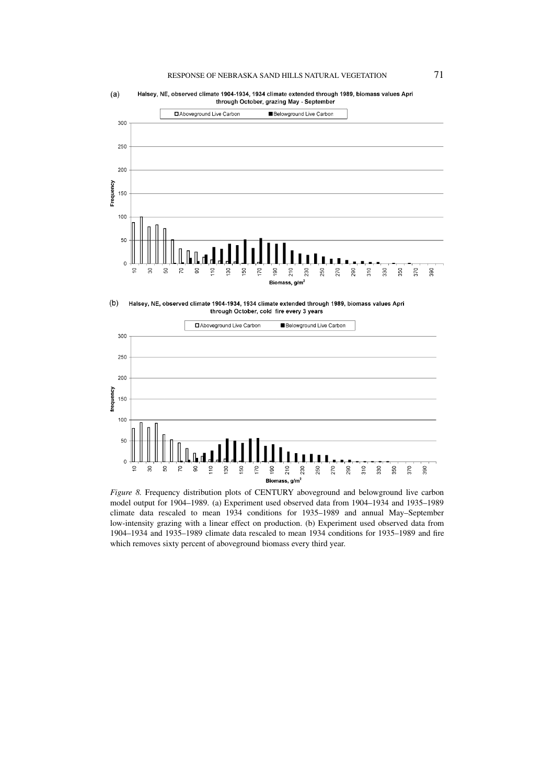#### RESPONSE OF NEBRASKA SAND HILLS NATURAL VEGETATION 71





 $(b)$ Halsey, NE, observed climate 1904-1934, 1934 climate extended through 1989, biomass values Apri through October, cold fire every 3 years



*Figure 8.* Frequency distribution plots of CENTURY aboveground and belowground live carbon model output for 1904–1989. (a) Experiment used observed data from 1904–1934 and 1935–1989 climate data rescaled to mean 1934 conditions for 1935–1989 and annual May–September low-intensity grazing with a linear effect on production. (b) Experiment used observed data from 1904–1934 and 1935–1989 climate data rescaled to mean 1934 conditions for 1935–1989 and fire which removes sixty percent of aboveground biomass every third year.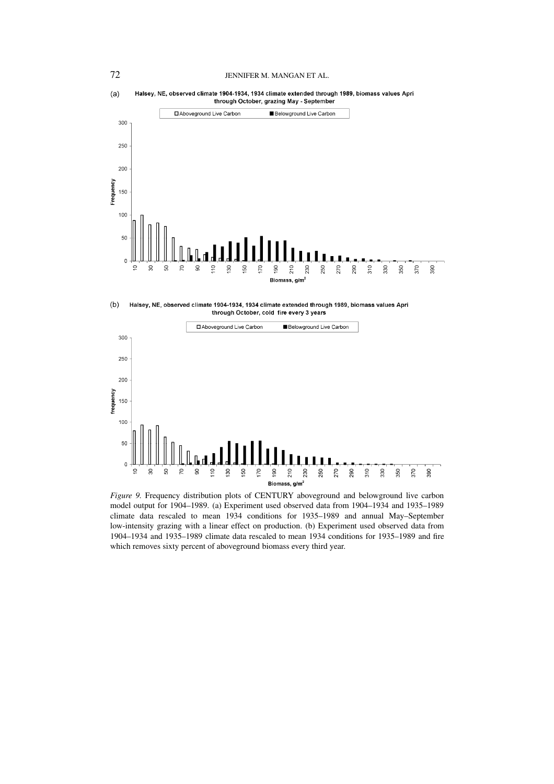### 72 JENNIFER M. MANGAN ET AL.



 $(b)$ Halsey, NE, observed climate 1904-1934, 1934 climate extended through 1989, biomass values Apri through October, cold fire every 3 years



*Figure 9.* Frequency distribution plots of CENTURY aboveground and belowground live carbon model output for 1904–1989. (a) Experiment used observed data from 1904–1934 and 1935–1989 climate data rescaled to mean 1934 conditions for 1935–1989 and annual May–September low-intensity grazing with a linear effect on production. (b) Experiment used observed data from 1904–1934 and 1935–1989 climate data rescaled to mean 1934 conditions for 1935–1989 and fire which removes sixty percent of aboveground biomass every third year.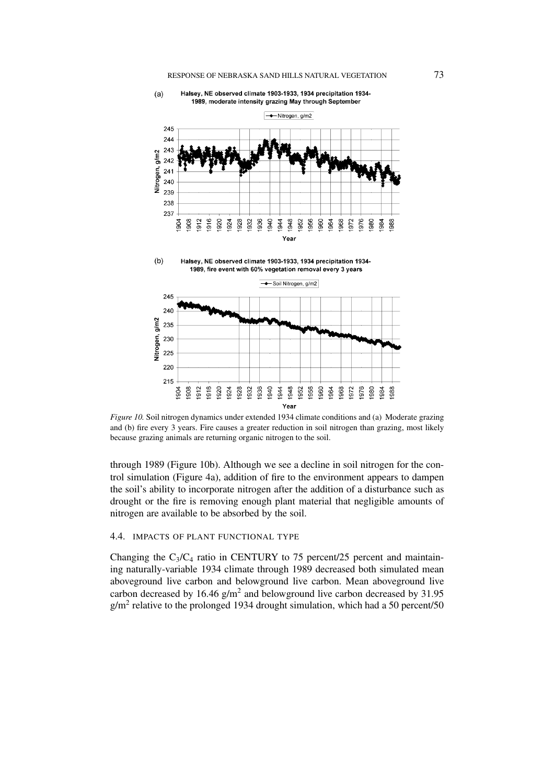

Halsey, NE observed climate 1903-1933, 1934 precipitation 1934- $(a)$ 1989, moderate intensity grazing May through September

*Figure 10.* Soil nitrogen dynamics under extended 1934 climate conditions and (a) Moderate grazing and (b) fire every 3 years. Fire causes a greater reduction in soil nitrogen than grazing, most likely because grazing animals are returning organic nitrogen to the soil.

through 1989 (Figure 10b). Although we see a decline in soil nitrogen for the control simulation (Figure 4a), addition of fire to the environment appears to dampen the soil's ability to incorporate nitrogen after the addition of a disturbance such as drought or the fire is removing enough plant material that negligible amounts of nitrogen are available to be absorbed by the soil.

## 4.4. IMPACTS OF PLANT FUNCTIONAL TYPE

Changing the  $C_3/C_4$  ratio in CENTURY to 75 percent/25 percent and maintaining naturally-variable 1934 climate through 1989 decreased both simulated mean aboveground live carbon and belowground live carbon. Mean aboveground live carbon decreased by 16.46  $g/m^2$  and belowground live carbon decreased by 31.95 g/m<sup>2</sup> relative to the prolonged 1934 drought simulation, which had a 50 percent/50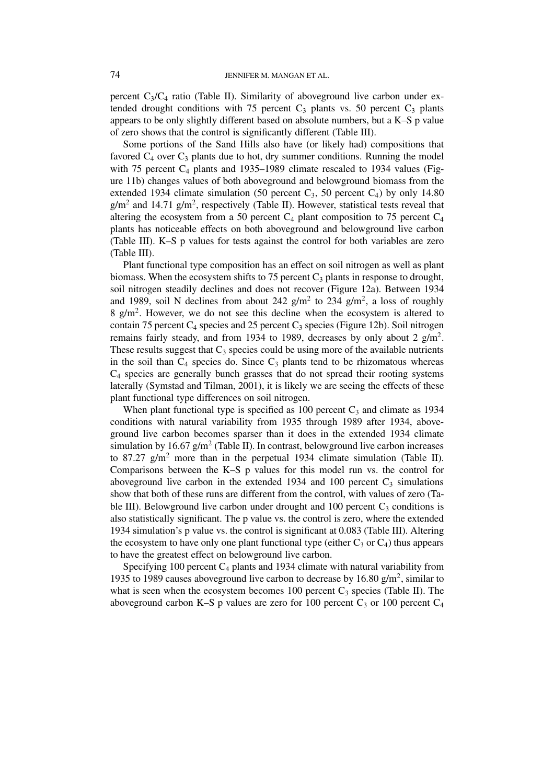percent  $C_3/C_4$  ratio (Table II). Similarity of aboveground live carbon under extended drought conditions with 75 percent  $C_3$  plants vs. 50 percent  $C_3$  plants appears to be only slightly different based on absolute numbers, but a K–S p value of zero shows that the control is significantly different (Table III).

Some portions of the Sand Hills also have (or likely had) compositions that favored  $C_4$  over  $C_3$  plants due to hot, dry summer conditions. Running the model with 75 percent  $C_4$  plants and 1935–1989 climate rescaled to 1934 values (Figure 11b) changes values of both aboveground and belowground biomass from the extended 1934 climate simulation (50 percent  $C_3$ , 50 percent  $C_4$ ) by only 14.80  $g/m^2$  and 14.71  $g/m^2$ , respectively (Table II). However, statistical tests reveal that altering the ecosystem from a 50 percent  $C_4$  plant composition to 75 percent  $C_4$ plants has noticeable effects on both aboveground and belowground live carbon (Table III). K–S p values for tests against the control for both variables are zero (Table III).

Plant functional type composition has an effect on soil nitrogen as well as plant biomass. When the ecosystem shifts to 75 percent  $C_3$  plants in response to drought, soil nitrogen steadily declines and does not recover (Figure 12a). Between 1934 and 1989, soil N declines from about 242  $g/m^2$  to 234  $g/m^2$ , a loss of roughly 8  $g/m<sup>2</sup>$ . However, we do not see this decline when the ecosystem is altered to contain 75 percent  $C_4$  species and 25 percent  $C_3$  species (Figure 12b). Soil nitrogen remains fairly steady, and from 1934 to 1989, decreases by only about 2  $g/m<sup>2</sup>$ . These results suggest that  $C_3$  species could be using more of the available nutrients in the soil than  $C_4$  species do. Since  $C_3$  plants tend to be rhizomatous whereas C4 species are generally bunch grasses that do not spread their rooting systems laterally (Symstad and Tilman, 2001), it is likely we are seeing the effects of these plant functional type differences on soil nitrogen.

When plant functional type is specified as  $100$  percent  $C_3$  and climate as 1934 conditions with natural variability from 1935 through 1989 after 1934, aboveground live carbon becomes sparser than it does in the extended 1934 climate simulation by  $16.67$  g/m<sup>2</sup> (Table II). In contrast, belowground live carbon increases to 87.27  $g/m^2$  more than in the perpetual 1934 climate simulation (Table II). Comparisons between the K–S p values for this model run vs. the control for aboveground live carbon in the extended 1934 and 100 percent  $C_3$  simulations show that both of these runs are different from the control, with values of zero (Table III). Belowground live carbon under drought and 100 percent  $C_3$  conditions is also statistically significant. The p value vs. the control is zero, where the extended 1934 simulation's p value vs. the control is significant at 0.083 (Table III). Altering the ecosystem to have only one plant functional type (either  $C_3$  or  $C_4$ ) thus appears to have the greatest effect on belowground live carbon.

Specifying 100 percent  $C_4$  plants and 1934 climate with natural variability from 1935 to 1989 causes aboveground live carbon to decrease by 16.80 g/m<sup>2</sup>, similar to what is seen when the ecosystem becomes 100 percent  $C_3$  species (Table II). The aboveground carbon K–S p values are zero for 100 percent  $C_3$  or 100 percent  $C_4$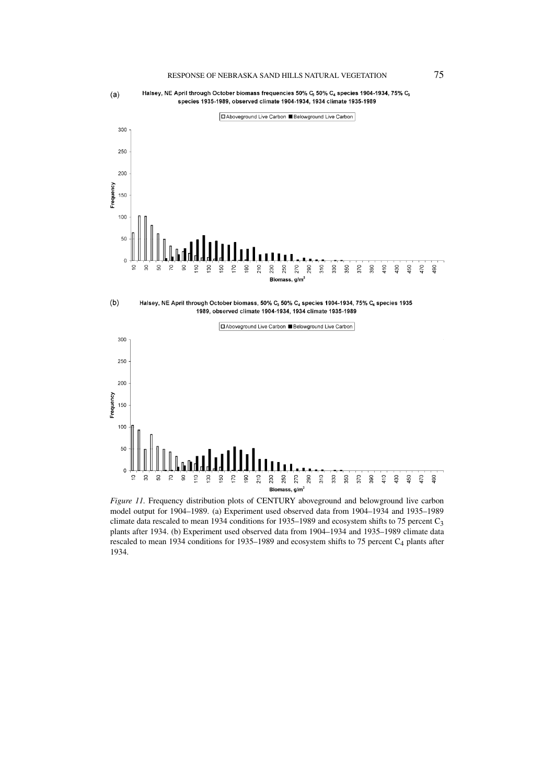

Halsey, NE April through October biomass frequencies 50% C<sub>3</sub> 50% C<sub>4</sub> species 1904-1934, 75% C<sub>3</sub> species 1935-1989, observed climate 1904-1934, 1934 climate 1935-1989



*Figure 11.* Frequency distribution plots of CENTURY aboveground and belowground live carbon model output for 1904–1989. (a) Experiment used observed data from 1904–1934 and 1935–1989 climate data rescaled to mean 1934 conditions for 1935–1989 and ecosystem shifts to 75 percent  $C_3$ plants after 1934. (b) Experiment used observed data from 1904–1934 and 1935–1989 climate data rescaled to mean 1934 conditions for 1935–1989 and ecosystem shifts to 75 percent C<sub>4</sub> plants after 1934.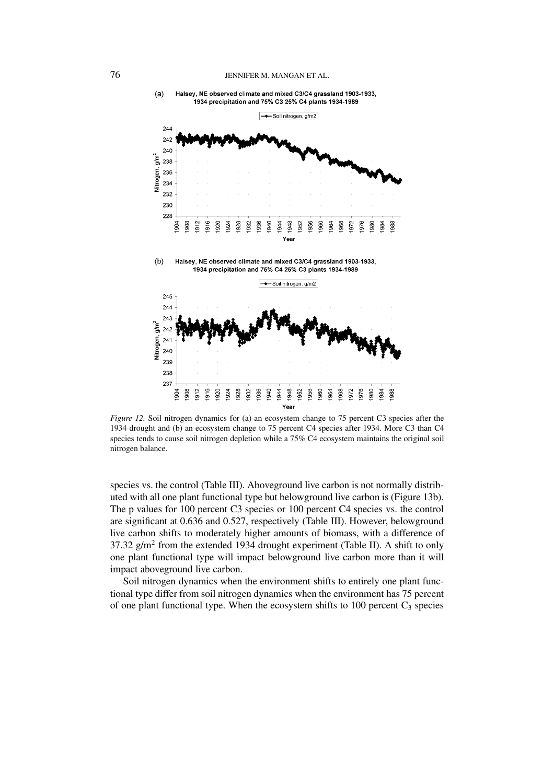

 $(a)$ Halsey, NE observed climate and mixed C3/C4 grassland 1903-1933, 1934 precipitation and 75% C3 25% C4 plants 1934-1989

*Figure 12.* Soil nitrogen dynamics for (a) an ecosystem change to 75 percent C3 species after the 1934 drought and (b) an ecosystem change to 75 percent C4 species after 1934. More C3 than C4 species tends to cause soil nitrogen depletion while a 75% C4 ecosystem maintains the original soil nitrogen balance.

species vs. the control (Table III). Aboveground live carbon is not normally distributed with all one plant functional type but belowground live carbon is (Figure 13b). The p values for 100 percent C3 species or 100 percent C4 species vs. the control are significant at 0.636 and 0.527, respectively (Table III). However, belowground live carbon shifts to moderately higher amounts of biomass, with a difference of 37.32  $g/m^2$  from the extended 1934 drought experiment (Table II). A shift to only one plant functional type will impact belowground live carbon more than it will impact aboveground live carbon.

Soil nitrogen dynamics when the environment shifts to entirely one plant functional type differ from soil nitrogen dynamics when the environment has 75 percent of one plant functional type. When the ecosystem shifts to 100 percent  $C_3$  species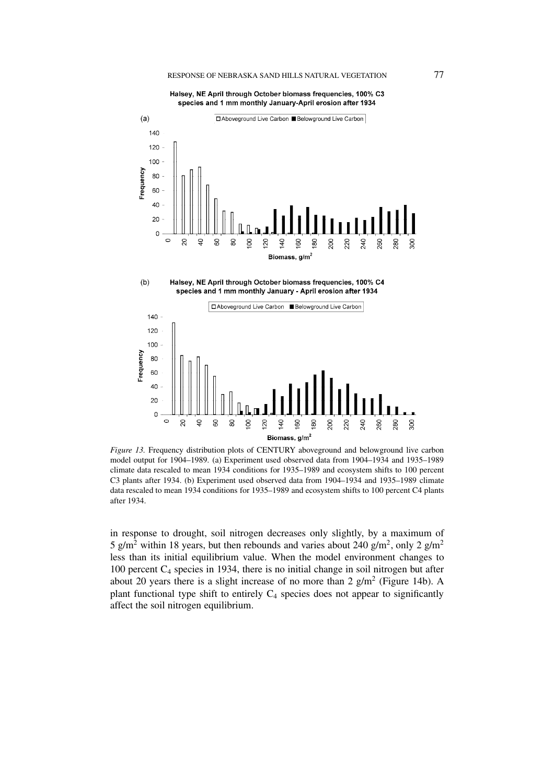

Halsey, NE April through October biomass frequencies, 100% C3 species and 1 mm monthly January-April erosion after 1934





*Figure 13.* Frequency distribution plots of CENTURY aboveground and belowground live carbon model output for 1904–1989. (a) Experiment used observed data from 1904–1934 and 1935–1989 climate data rescaled to mean 1934 conditions for 1935–1989 and ecosystem shifts to 100 percent C3 plants after 1934. (b) Experiment used observed data from 1904–1934 and 1935–1989 climate data rescaled to mean 1934 conditions for 1935–1989 and ecosystem shifts to 100 percent C4 plants after 1934.

in response to drought, soil nitrogen decreases only slightly, by a maximum of 5 g/m<sup>2</sup> within 18 years, but then rebounds and varies about 240 g/m<sup>2</sup>, only 2 g/m<sup>2</sup> less than its initial equilibrium value. When the model environment changes to 100 percent C4 species in 1934, there is no initial change in soil nitrogen but after about 20 years there is a slight increase of no more than  $2 \text{ g/m}^2$  (Figure 14b). A plant functional type shift to entirely  $C_4$  species does not appear to significantly affect the soil nitrogen equilibrium.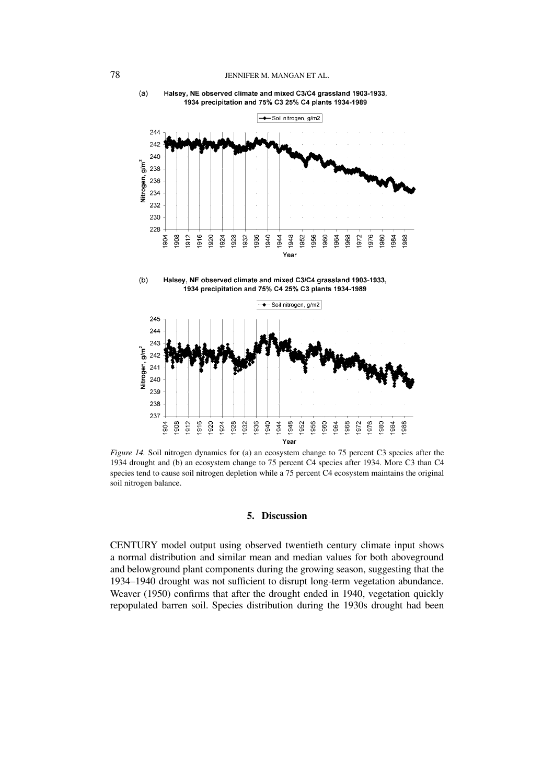

*Figure 14.* Soil nitrogen dynamics for (a) an ecosystem change to 75 percent C3 species after the 1934 drought and (b) an ecosystem change to 75 percent C4 species after 1934. More C3 than C4 species tend to cause soil nitrogen depletion while a 75 percent C4 ecosystem maintains the original soil nitrogen balance.

### **5. Discussion**

CENTURY model output using observed twentieth century climate input shows a normal distribution and similar mean and median values for both aboveground and belowground plant components during the growing season, suggesting that the 1934–1940 drought was not sufficient to disrupt long-term vegetation abundance. Weaver (1950) confirms that after the drought ended in 1940, vegetation quickly repopulated barren soil. Species distribution during the 1930s drought had been

 $(a)$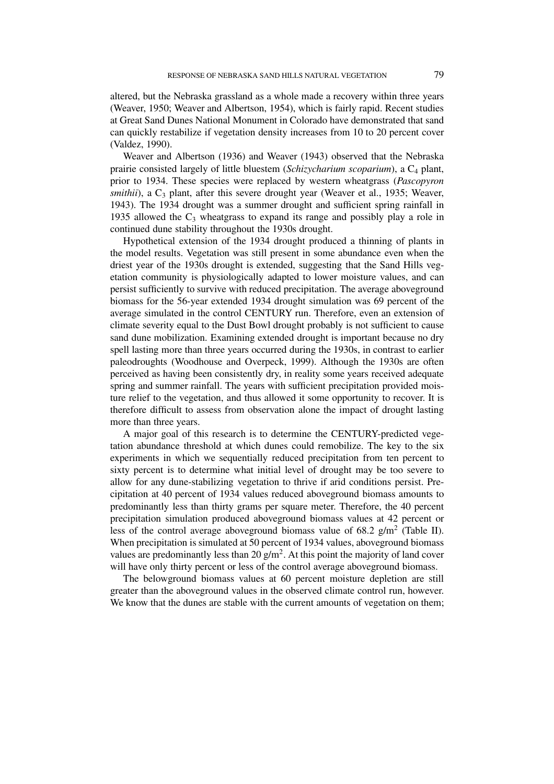altered, but the Nebraska grassland as a whole made a recovery within three years (Weaver, 1950; Weaver and Albertson, 1954), which is fairly rapid. Recent studies at Great Sand Dunes National Monument in Colorado have demonstrated that sand can quickly restabilize if vegetation density increases from 10 to 20 percent cover (Valdez, 1990).

Weaver and Albertson (1936) and Weaver (1943) observed that the Nebraska prairie consisted largely of little bluestem (*Schizycharium scoparium*), a C4 plant, prior to 1934. These species were replaced by western wheatgrass (*Pascopyron*  $s$ *mithii*), a  $C_3$  plant, after this severe drought year (Weaver et al., 1935; Weaver, 1943). The 1934 drought was a summer drought and sufficient spring rainfall in 1935 allowed the  $C_3$  wheatgrass to expand its range and possibly play a role in continued dune stability throughout the 1930s drought.

Hypothetical extension of the 1934 drought produced a thinning of plants in the model results. Vegetation was still present in some abundance even when the driest year of the 1930s drought is extended, suggesting that the Sand Hills vegetation community is physiologically adapted to lower moisture values, and can persist sufficiently to survive with reduced precipitation. The average aboveground biomass for the 56-year extended 1934 drought simulation was 69 percent of the average simulated in the control CENTURY run. Therefore, even an extension of climate severity equal to the Dust Bowl drought probably is not sufficient to cause sand dune mobilization. Examining extended drought is important because no dry spell lasting more than three years occurred during the 1930s, in contrast to earlier paleodroughts (Woodhouse and Overpeck, 1999). Although the 1930s are often perceived as having been consistently dry, in reality some years received adequate spring and summer rainfall. The years with sufficient precipitation provided moisture relief to the vegetation, and thus allowed it some opportunity to recover. It is therefore difficult to assess from observation alone the impact of drought lasting more than three years.

A major goal of this research is to determine the CENTURY-predicted vegetation abundance threshold at which dunes could remobilize. The key to the six experiments in which we sequentially reduced precipitation from ten percent to sixty percent is to determine what initial level of drought may be too severe to allow for any dune-stabilizing vegetation to thrive if arid conditions persist. Precipitation at 40 percent of 1934 values reduced aboveground biomass amounts to predominantly less than thirty grams per square meter. Therefore, the 40 percent precipitation simulation produced aboveground biomass values at 42 percent or less of the control average aboveground biomass value of 68.2  $g/m^2$  (Table II). When precipitation is simulated at 50 percent of 1934 values, aboveground biomass values are predominantly less than 20  $g/m<sup>2</sup>$ . At this point the majority of land cover will have only thirty percent or less of the control average aboveground biomass.

The belowground biomass values at 60 percent moisture depletion are still greater than the aboveground values in the observed climate control run, however. We know that the dunes are stable with the current amounts of vegetation on them;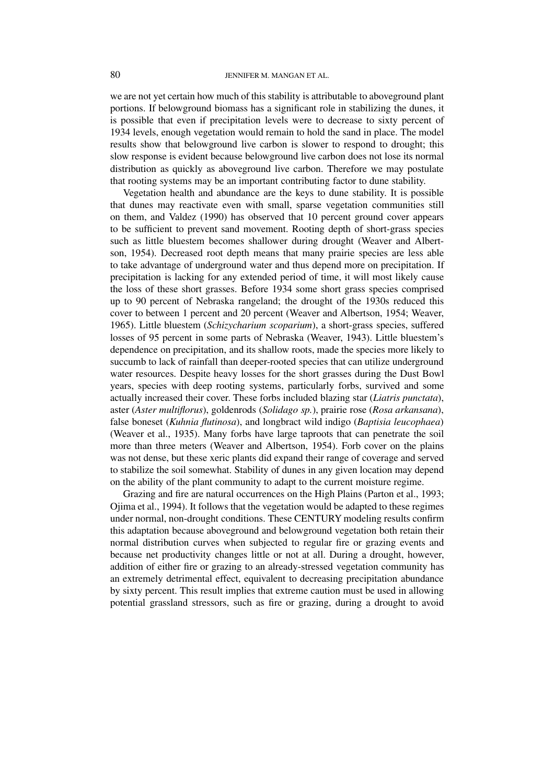we are not yet certain how much of this stability is attributable to aboveground plant portions. If belowground biomass has a significant role in stabilizing the dunes, it is possible that even if precipitation levels were to decrease to sixty percent of 1934 levels, enough vegetation would remain to hold the sand in place. The model results show that belowground live carbon is slower to respond to drought; this slow response is evident because belowground live carbon does not lose its normal distribution as quickly as aboveground live carbon. Therefore we may postulate that rooting systems may be an important contributing factor to dune stability.

Vegetation health and abundance are the keys to dune stability. It is possible that dunes may reactivate even with small, sparse vegetation communities still on them, and Valdez (1990) has observed that 10 percent ground cover appears to be sufficient to prevent sand movement. Rooting depth of short-grass species such as little bluestem becomes shallower during drought (Weaver and Albertson, 1954). Decreased root depth means that many prairie species are less able to take advantage of underground water and thus depend more on precipitation. If precipitation is lacking for any extended period of time, it will most likely cause the loss of these short grasses. Before 1934 some short grass species comprised up to 90 percent of Nebraska rangeland; the drought of the 1930s reduced this cover to between 1 percent and 20 percent (Weaver and Albertson, 1954; Weaver, 1965). Little bluestem (*Schizycharium scoparium*), a short-grass species, suffered losses of 95 percent in some parts of Nebraska (Weaver, 1943). Little bluestem's dependence on precipitation, and its shallow roots, made the species more likely to succumb to lack of rainfall than deeper-rooted species that can utilize underground water resources. Despite heavy losses for the short grasses during the Dust Bowl years, species with deep rooting systems, particularly forbs, survived and some actually increased their cover. These forbs included blazing star (*Liatris punctata*), aster (*Aster multiflorus*), goldenrods (*Solidago sp.*), prairie rose (*Rosa arkansana*), false boneset (*Kuhnia flutinosa*), and longbract wild indigo (*Baptisia leucophaea*) (Weaver et al., 1935). Many forbs have large taproots that can penetrate the soil more than three meters (Weaver and Albertson, 1954). Forb cover on the plains was not dense, but these xeric plants did expand their range of coverage and served to stabilize the soil somewhat. Stability of dunes in any given location may depend on the ability of the plant community to adapt to the current moisture regime.

Grazing and fire are natural occurrences on the High Plains (Parton et al., 1993; Ojima et al., 1994). It follows that the vegetation would be adapted to these regimes under normal, non-drought conditions. These CENTURY modeling results confirm this adaptation because aboveground and belowground vegetation both retain their normal distribution curves when subjected to regular fire or grazing events and because net productivity changes little or not at all. During a drought, however, addition of either fire or grazing to an already-stressed vegetation community has an extremely detrimental effect, equivalent to decreasing precipitation abundance by sixty percent. This result implies that extreme caution must be used in allowing potential grassland stressors, such as fire or grazing, during a drought to avoid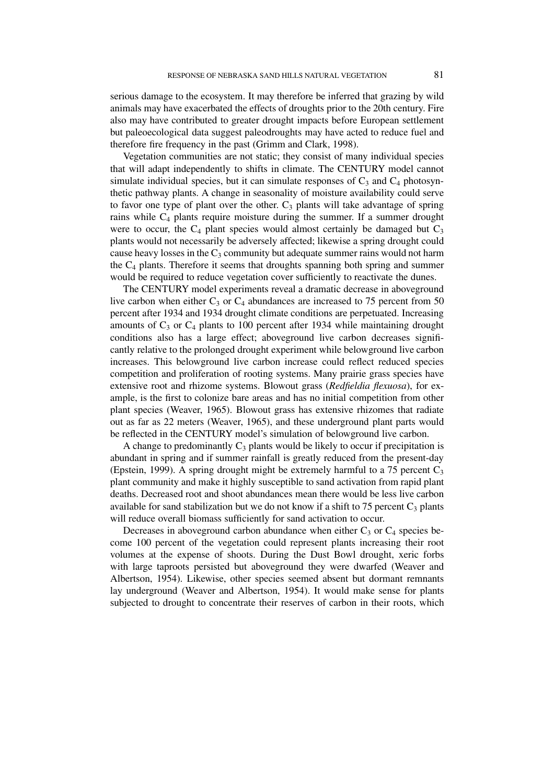serious damage to the ecosystem. It may therefore be inferred that grazing by wild animals may have exacerbated the effects of droughts prior to the 20th century. Fire also may have contributed to greater drought impacts before European settlement but paleoecological data suggest paleodroughts may have acted to reduce fuel and therefore fire frequency in the past (Grimm and Clark, 1998).

Vegetation communities are not static; they consist of many individual species that will adapt independently to shifts in climate. The CENTURY model cannot simulate individual species, but it can simulate responses of  $C_3$  and  $C_4$  photosynthetic pathway plants. A change in seasonality of moisture availability could serve to favor one type of plant over the other.  $C_3$  plants will take advantage of spring rains while  $C_4$  plants require moisture during the summer. If a summer drought were to occur, the  $C_4$  plant species would almost certainly be damaged but  $C_3$ plants would not necessarily be adversely affected; likewise a spring drought could cause heavy losses in the  $C_3$  community but adequate summer rains would not harm the  $C_4$  plants. Therefore it seems that droughts spanning both spring and summer would be required to reduce vegetation cover sufficiently to reactivate the dunes.

The CENTURY model experiments reveal a dramatic decrease in aboveground live carbon when either  $C_3$  or  $C_4$  abundances are increased to 75 percent from 50 percent after 1934 and 1934 drought climate conditions are perpetuated. Increasing amounts of  $C_3$  or  $C_4$  plants to 100 percent after 1934 while maintaining drought conditions also has a large effect; aboveground live carbon decreases significantly relative to the prolonged drought experiment while belowground live carbon increases. This belowground live carbon increase could reflect reduced species competition and proliferation of rooting systems. Many prairie grass species have extensive root and rhizome systems. Blowout grass (*Redfieldia flexuosa*), for example, is the first to colonize bare areas and has no initial competition from other plant species (Weaver, 1965). Blowout grass has extensive rhizomes that radiate out as far as 22 meters (Weaver, 1965), and these underground plant parts would be reflected in the CENTURY model's simulation of belowground live carbon.

A change to predominantly  $C_3$  plants would be likely to occur if precipitation is abundant in spring and if summer rainfall is greatly reduced from the present-day (Epstein, 1999). A spring drought might be extremely harmful to a 75 percent  $C_3$ plant community and make it highly susceptible to sand activation from rapid plant deaths. Decreased root and shoot abundances mean there would be less live carbon available for sand stabilization but we do not know if a shift to 75 percent  $C_3$  plants will reduce overall biomass sufficiently for sand activation to occur.

Decreases in aboveground carbon abundance when either  $C_3$  or  $C_4$  species become 100 percent of the vegetation could represent plants increasing their root volumes at the expense of shoots. During the Dust Bowl drought, xeric forbs with large taproots persisted but aboveground they were dwarfed (Weaver and Albertson, 1954). Likewise, other species seemed absent but dormant remnants lay underground (Weaver and Albertson, 1954). It would make sense for plants subjected to drought to concentrate their reserves of carbon in their roots, which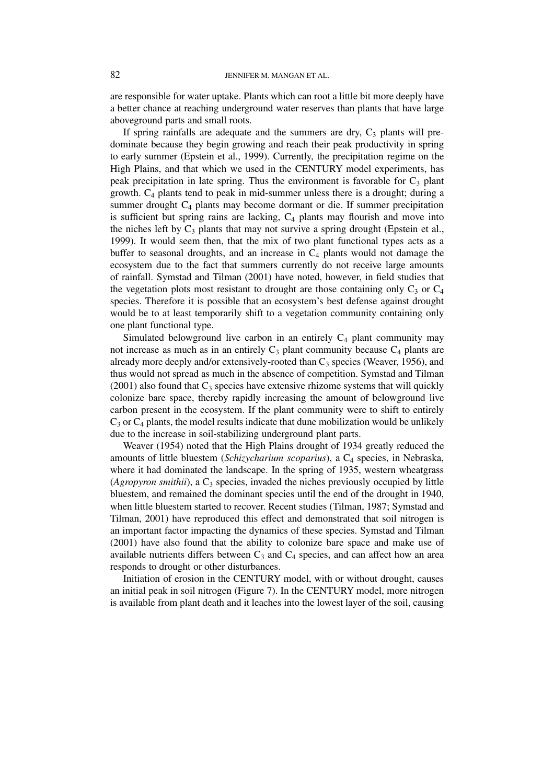are responsible for water uptake. Plants which can root a little bit more deeply have a better chance at reaching underground water reserves than plants that have large aboveground parts and small roots.

If spring rainfalls are adequate and the summers are dry,  $C_3$  plants will predominate because they begin growing and reach their peak productivity in spring to early summer (Epstein et al., 1999). Currently, the precipitation regime on the High Plains, and that which we used in the CENTURY model experiments, has peak precipitation in late spring. Thus the environment is favorable for  $C_3$  plant growth. C4 plants tend to peak in mid-summer unless there is a drought; during a summer drought  $C_4$  plants may become dormant or die. If summer precipitation is sufficient but spring rains are lacking,  $C_4$  plants may flourish and move into the niches left by  $C_3$  plants that may not survive a spring drought (Epstein et al., 1999). It would seem then, that the mix of two plant functional types acts as a buffer to seasonal droughts, and an increase in  $C_4$  plants would not damage the ecosystem due to the fact that summers currently do not receive large amounts of rainfall. Symstad and Tilman (2001) have noted, however, in field studies that the vegetation plots most resistant to drought are those containing only  $C_3$  or  $C_4$ species. Therefore it is possible that an ecosystem's best defense against drought would be to at least temporarily shift to a vegetation community containing only one plant functional type.

Simulated belowground live carbon in an entirely  $C_4$  plant community may not increase as much as in an entirely  $C_3$  plant community because  $C_4$  plants are already more deeply and/or extensively-rooted than  $C_3$  species (Weaver, 1956), and thus would not spread as much in the absence of competition. Symstad and Tilman  $(2001)$  also found that  $C_3$  species have extensive rhizome systems that will quickly colonize bare space, thereby rapidly increasing the amount of belowground live carbon present in the ecosystem. If the plant community were to shift to entirely  $C_3$  or  $C_4$  plants, the model results indicate that dune mobilization would be unlikely due to the increase in soil-stabilizing underground plant parts.

Weaver (1954) noted that the High Plains drought of 1934 greatly reduced the amounts of little bluestem (*Schizycharium scoparius*), a C<sub>4</sub> species, in Nebraska, where it had dominated the landscape. In the spring of 1935, western wheatgrass  $(Agropyron \; *simithii*)$ , a  $C_3$  species, invaded the niches previously occupied by little bluestem, and remained the dominant species until the end of the drought in 1940, when little bluestem started to recover. Recent studies (Tilman, 1987; Symstad and Tilman, 2001) have reproduced this effect and demonstrated that soil nitrogen is an important factor impacting the dynamics of these species. Symstad and Tilman (2001) have also found that the ability to colonize bare space and make use of available nutrients differs between  $C_3$  and  $C_4$  species, and can affect how an area responds to drought or other disturbances.

Initiation of erosion in the CENTURY model, with or without drought, causes an initial peak in soil nitrogen (Figure 7). In the CENTURY model, more nitrogen is available from plant death and it leaches into the lowest layer of the soil, causing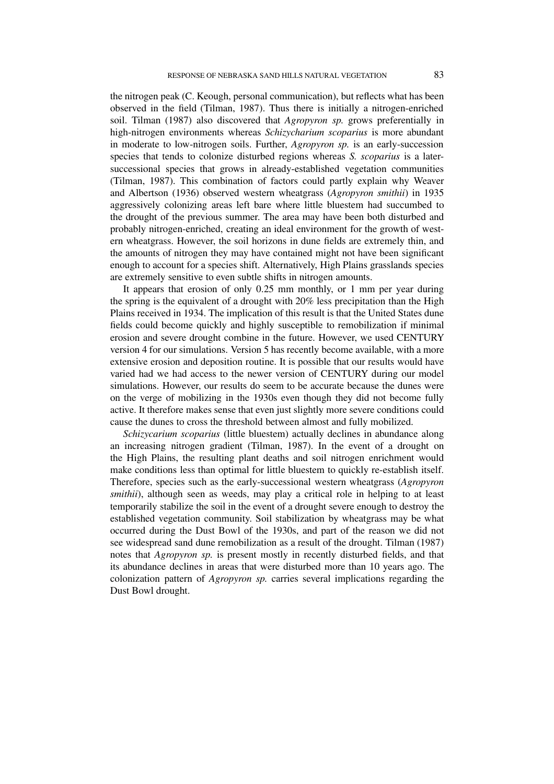the nitrogen peak (C. Keough, personal communication), but reflects what has been observed in the field (Tilman, 1987). Thus there is initially a nitrogen-enriched soil. Tilman (1987) also discovered that *Agropyron sp.* grows preferentially in high-nitrogen environments whereas *Schizycharium scoparius* is more abundant in moderate to low-nitrogen soils. Further, *Agropyron sp.* is an early-succession species that tends to colonize disturbed regions whereas *S. scoparius* is a latersuccessional species that grows in already-established vegetation communities (Tilman, 1987). This combination of factors could partly explain why Weaver and Albertson (1936) observed western wheatgrass (*Agropyron smithii*) in 1935 aggressively colonizing areas left bare where little bluestem had succumbed to the drought of the previous summer. The area may have been both disturbed and probably nitrogen-enriched, creating an ideal environment for the growth of western wheatgrass. However, the soil horizons in dune fields are extremely thin, and the amounts of nitrogen they may have contained might not have been significant enough to account for a species shift. Alternatively, High Plains grasslands species are extremely sensitive to even subtle shifts in nitrogen amounts.

It appears that erosion of only 0.25 mm monthly, or 1 mm per year during the spring is the equivalent of a drought with 20% less precipitation than the High Plains received in 1934. The implication of this result is that the United States dune fields could become quickly and highly susceptible to remobilization if minimal erosion and severe drought combine in the future. However, we used CENTURY version 4 for our simulations. Version 5 has recently become available, with a more extensive erosion and deposition routine. It is possible that our results would have varied had we had access to the newer version of CENTURY during our model simulations. However, our results do seem to be accurate because the dunes were on the verge of mobilizing in the 1930s even though they did not become fully active. It therefore makes sense that even just slightly more severe conditions could cause the dunes to cross the threshold between almost and fully mobilized.

*Schizycarium scoparius* (little bluestem) actually declines in abundance along an increasing nitrogen gradient (Tilman, 1987). In the event of a drought on the High Plains, the resulting plant deaths and soil nitrogen enrichment would make conditions less than optimal for little bluestem to quickly re-establish itself. Therefore, species such as the early-successional western wheatgrass (*Agropyron smithii*), although seen as weeds, may play a critical role in helping to at least temporarily stabilize the soil in the event of a drought severe enough to destroy the established vegetation community. Soil stabilization by wheatgrass may be what occurred during the Dust Bowl of the 1930s, and part of the reason we did not see widespread sand dune remobilization as a result of the drought. Tilman (1987) notes that *Agropyron sp.* is present mostly in recently disturbed fields, and that its abundance declines in areas that were disturbed more than 10 years ago. The colonization pattern of *Agropyron sp.* carries several implications regarding the Dust Bowl drought.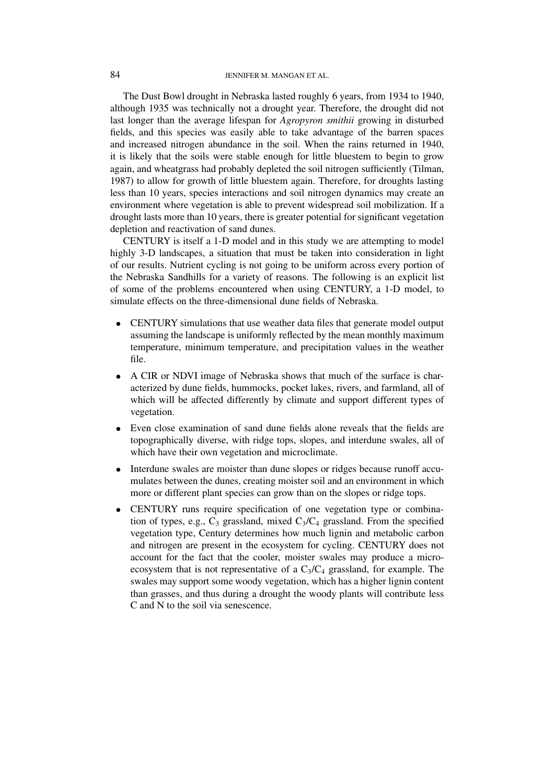The Dust Bowl drought in Nebraska lasted roughly 6 years, from 1934 to 1940, although 1935 was technically not a drought year. Therefore, the drought did not last longer than the average lifespan for *Agropyron smithii* growing in disturbed fields, and this species was easily able to take advantage of the barren spaces and increased nitrogen abundance in the soil. When the rains returned in 1940, it is likely that the soils were stable enough for little bluestem to begin to grow again, and wheatgrass had probably depleted the soil nitrogen sufficiently (Tilman, 1987) to allow for growth of little bluestem again. Therefore, for droughts lasting less than 10 years, species interactions and soil nitrogen dynamics may create an environment where vegetation is able to prevent widespread soil mobilization. If a drought lasts more than 10 years, there is greater potential for significant vegetation depletion and reactivation of sand dunes.

CENTURY is itself a 1-D model and in this study we are attempting to model highly 3-D landscapes, a situation that must be taken into consideration in light of our results. Nutrient cycling is not going to be uniform across every portion of the Nebraska Sandhills for a variety of reasons. The following is an explicit list of some of the problems encountered when using CENTURY, a 1-D model, to simulate effects on the three-dimensional dune fields of Nebraska.

- CENTURY simulations that use weather data files that generate model output assuming the landscape is uniformly reflected by the mean monthly maximum temperature, minimum temperature, and precipitation values in the weather file.
- A CIR or NDVI image of Nebraska shows that much of the surface is characterized by dune fields, hummocks, pocket lakes, rivers, and farmland, all of which will be affected differently by climate and support different types of vegetation.
- Even close examination of sand dune fields alone reveals that the fields are topographically diverse, with ridge tops, slopes, and interdune swales, all of which have their own vegetation and microclimate.
- Interdune swales are moister than dune slopes or ridges because runoff accumulates between the dunes, creating moister soil and an environment in which more or different plant species can grow than on the slopes or ridge tops.
- CENTURY runs require specification of one vegetation type or combination of types, e.g.,  $C_3$  grassland, mixed  $C_3/C_4$  grassland. From the specified vegetation type, Century determines how much lignin and metabolic carbon and nitrogen are present in the ecosystem for cycling. CENTURY does not account for the fact that the cooler, moister swales may produce a microecosystem that is not representative of a  $C_3/C_4$  grassland, for example. The swales may support some woody vegetation, which has a higher lignin content than grasses, and thus during a drought the woody plants will contribute less C and N to the soil via senescence.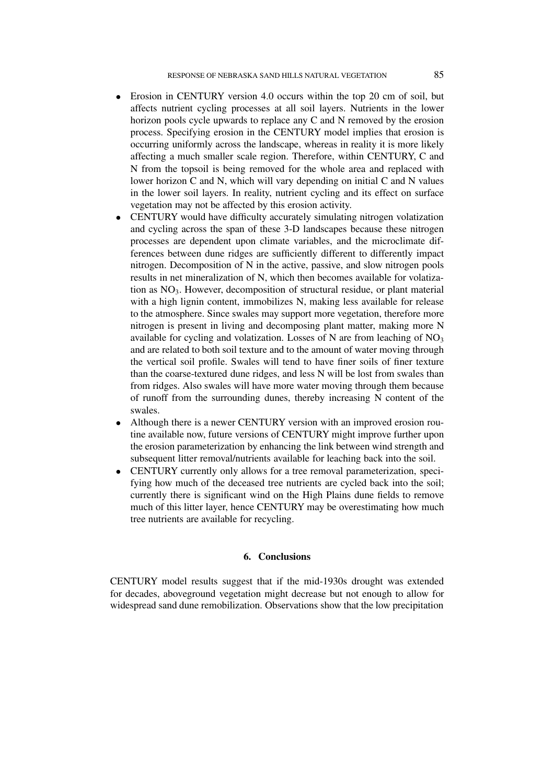- Erosion in CENTURY version 4.0 occurs within the top 20 cm of soil, but affects nutrient cycling processes at all soil layers. Nutrients in the lower horizon pools cycle upwards to replace any C and N removed by the erosion process. Specifying erosion in the CENTURY model implies that erosion is occurring uniformly across the landscape, whereas in reality it is more likely affecting a much smaller scale region. Therefore, within CENTURY, C and N from the topsoil is being removed for the whole area and replaced with lower horizon C and N, which will vary depending on initial C and N values in the lower soil layers. In reality, nutrient cycling and its effect on surface vegetation may not be affected by this erosion activity.
- CENTURY would have difficulty accurately simulating nitrogen volatization and cycling across the span of these 3-D landscapes because these nitrogen processes are dependent upon climate variables, and the microclimate differences between dune ridges are sufficiently different to differently impact nitrogen. Decomposition of N in the active, passive, and slow nitrogen pools results in net mineralization of N, which then becomes available for volatization as  $NO<sub>3</sub>$ . However, decomposition of structural residue, or plant material with a high lignin content, immobilizes N, making less available for release to the atmosphere. Since swales may support more vegetation, therefore more nitrogen is present in living and decomposing plant matter, making more N available for cycling and volatization. Losses of N are from leaching of  $NO<sub>3</sub>$ and are related to both soil texture and to the amount of water moving through the vertical soil profile. Swales will tend to have finer soils of finer texture than the coarse-textured dune ridges, and less N will be lost from swales than from ridges. Also swales will have more water moving through them because of runoff from the surrounding dunes, thereby increasing N content of the swales.
- Although there is a newer CENTURY version with an improved erosion routine available now, future versions of CENTURY might improve further upon the erosion parameterization by enhancing the link between wind strength and subsequent litter removal/nutrients available for leaching back into the soil.
- CENTURY currently only allows for a tree removal parameterization, specifying how much of the deceased tree nutrients are cycled back into the soil; currently there is significant wind on the High Plains dune fields to remove much of this litter layer, hence CENTURY may be overestimating how much tree nutrients are available for recycling.

# **6. Conclusions**

CENTURY model results suggest that if the mid-1930s drought was extended for decades, aboveground vegetation might decrease but not enough to allow for widespread sand dune remobilization. Observations show that the low precipitation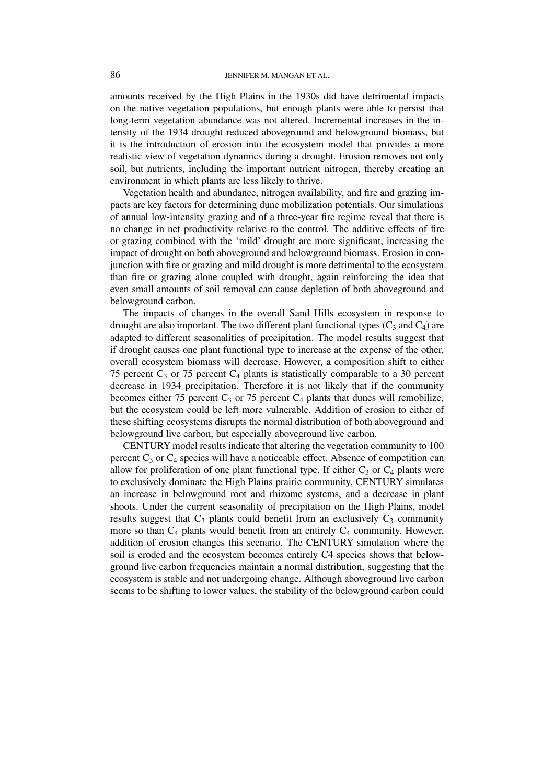amounts received by the High Plains in the 1930s did have detrimental impacts on the native vegetation populations, but enough plants were able to persist that long-term vegetation abundance was not altered. Incremental increases in the intensity of the 1934 drought reduced aboveground and belowground biomass, but it is the introduction of erosion into the ecosystem model that provides a more realistic view of vegetation dynamics during a drought. Erosion removes not only soil, but nutrients, including the important nutrient nitrogen, thereby creating an environment in which plants are less likely to thrive.

Vegetation health and abundance, nitrogen availability, and fire and grazing impacts are key factors for determining dune mobilization potentials. Our simulations of annual low-intensity grazing and of a three-year fire regime reveal that there is no change in net productivity relative to the control. The additive effects of fire or grazing combined with the 'mild' drought are more significant, increasing the impact of drought on both aboveground and belowground biomass. Erosion in conjunction with fire or grazing and mild drought is more detrimental to the ecosystem than fire or grazing alone coupled with drought, again reinforcing the idea that even small amounts of soil removal can cause depletion of both aboveground and belowground carbon.

The impacts of changes in the overall Sand Hills ecosystem in response to drought are also important. The two different plant functional types  $(C_3 \text{ and } C_4)$  are adapted to different seasonalities of precipitation. The model results suggest that if drought causes one plant functional type to increase at the expense of the other, overall ecosystem biomass will decrease. However, a composition shift to either 75 percent  $C_3$  or 75 percent  $C_4$  plants is statistically comparable to a 30 percent decrease in 1934 precipitation. Therefore it is not likely that if the community becomes either 75 percent  $C_3$  or 75 percent  $C_4$  plants that dunes will remobilize, but the ecosystem could be left more vulnerable. Addition of erosion to either of these shifting ecosystems disrupts the normal distribution of both aboveground and belowground live carbon, but especially aboveground live carbon.

CENTURY model results indicate that altering the vegetation community to 100 percent  $C_3$  or  $C_4$  species will have a noticeable effect. Absence of competition can allow for proliferation of one plant functional type. If either  $C_3$  or  $C_4$  plants were to exclusively dominate the High Plains prairie community, CENTURY simulates an increase in belowground root and rhizome systems, and a decrease in plant shoots. Under the current seasonality of precipitation on the High Plains, model results suggest that  $C_3$  plants could benefit from an exclusively  $C_3$  community more so than  $C_4$  plants would benefit from an entirely  $C_4$  community. However, addition of erosion changes this scenario. The CENTURY simulation where the soil is eroded and the ecosystem becomes entirely C4 species shows that belowground live carbon frequencies maintain a normal distribution, suggesting that the ecosystem is stable and not undergoing change. Although aboveground live carbon seems to be shifting to lower values, the stability of the belowground carbon could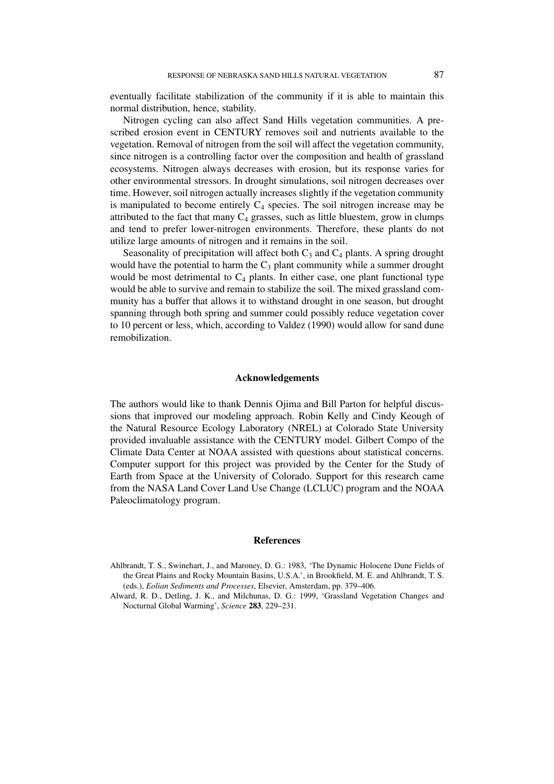eventually facilitate stabilization of the community if it is able to maintain this normal distribution, hence, stability.

Nitrogen cycling can also affect Sand Hills vegetation communities. A prescribed erosion event in CENTURY removes soil and nutrients available to the vegetation. Removal of nitrogen from the soil will affect the vegetation community, since nitrogen is a controlling factor over the composition and health of grassland ecosystems. Nitrogen always decreases with erosion, but its response varies for other environmental stressors. In drought simulations, soil nitrogen decreases over time. However, soil nitrogen actually increases slightly if the vegetation community is manipulated to become entirely  $C_4$  species. The soil nitrogen increase may be attributed to the fact that many  $C_4$  grasses, such as little bluestem, grow in clumps and tend to prefer lower-nitrogen environments. Therefore, these plants do not utilize large amounts of nitrogen and it remains in the soil.

Seasonality of precipitation will affect both  $C_3$  and  $C_4$  plants. A spring drought would have the potential to harm the  $C_3$  plant community while a summer drought would be most detrimental to  $C_4$  plants. In either case, one plant functional type would be able to survive and remain to stabilize the soil. The mixed grassland community has a buffer that allows it to withstand drought in one season, but drought spanning through both spring and summer could possibly reduce vegetation cover to 10 percent or less, which, according to Valdez (1990) would allow for sand dune remobilization.

#### **Acknowledgements**

The authors would like to thank Dennis Ojima and Bill Parton for helpful discussions that improved our modeling approach. Robin Kelly and Cindy Keough of the Natural Resource Ecology Laboratory (NREL) at Colorado State University provided invaluable assistance with the CENTURY model. Gilbert Compo of the Climate Data Center at NOAA assisted with questions about statistical concerns. Computer support for this project was provided by the Center for the Study of Earth from Space at the University of Colorado. Support for this research came from the NASA Land Cover Land Use Change (LCLUC) program and the NOAA Paleoclimatology program.

#### **References**

- Ahlbrandt, T. S., Swinehart, J., and Maroney, D. G.: 1983, 'The Dynamic Holocene Dune Fields of the Great Plains and Rocky Mountain Basins, U.S.A.', in Brookfield, M. E. and Ahlbrandt, T. S. (eds.), *Eolian Sediments and Processes*, Elsevier, Amsterdam, pp. 379–406.
- Alward, R. D., Detling, J. K., and Milchunas, D. G.: 1999, 'Grassland Vegetation Changes and Nocturnal Global Warming', *Science* **283**, 229–231.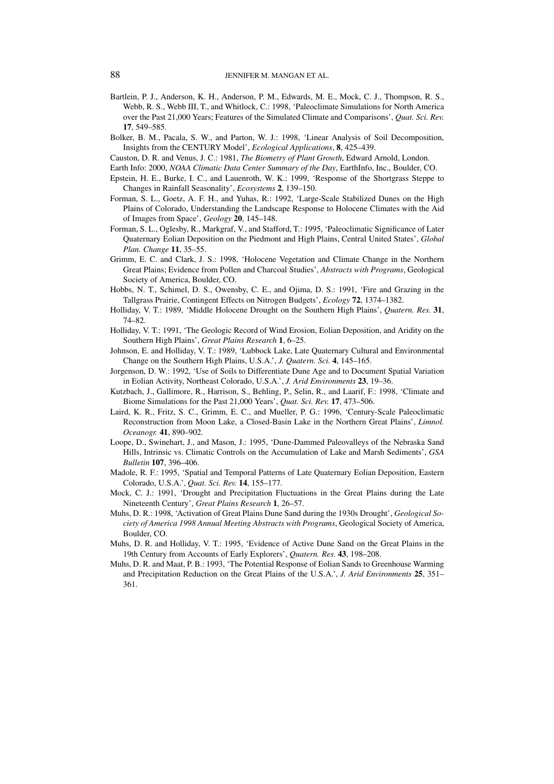- Bartlein, P. J., Anderson, K. H., Anderson, P. M., Edwards, M. E., Mock, C. J., Thompson, R. S., Webb, R. S., Webb III, T., and Whitlock, C.: 1998, 'Paleoclimate Simulations for North America over the Past 21,000 Years; Features of the Simulated Climate and Comparisons', *Quat. Sci. Rev.* **17**, 549–585.
- Bolker, B. M., Pacala, S. W., and Parton, W. J.: 1998, 'Linear Analysis of Soil Decomposition, Insights from the CENTURY Model', *Ecological Applications*, **8**, 425–439.
- Causton, D. R. and Venus, J. C.: 1981, *The Biometry of Plant Growth*, Edward Arnold, London.
- Earth Info: 2000, *NOAA Climatic Data Center Summary of the Day*, EarthInfo, Inc., Boulder, CO.
- Epstein, H. E., Burke, I. C., and Lauenroth, W. K.: 1999, 'Response of the Shortgrass Steppe to Changes in Rainfall Seasonality', *Ecosystems* **2**, 139–150.
- Forman, S. L., Goetz, A. F. H., and Yuhas, R.: 1992, 'Large-Scale Stabilized Dunes on the High Plains of Colorado, Understanding the Landscape Response to Holocene Climates with the Aid of Images from Space', *Geology* **20**, 145–148.
- Forman, S. L., Oglesby, R., Markgraf, V., and Stafford, T.: 1995, 'Paleoclimatic Significance of Later Quaternary Eolian Deposition on the Piedmont and High Plains, Central United States', *Global Plan. Change* **11**, 35–55.
- Grimm, E. C. and Clark, J. S.: 1998, 'Holocene Vegetation and Climate Change in the Northern Great Plains; Evidence from Pollen and Charcoal Studies', *Abstracts with Programs*, Geological Society of America, Boulder, CO.
- Hobbs, N. T., Schimel, D. S., Owensby, C. E., and Ojima, D. S.: 1991, 'Fire and Grazing in the Tallgrass Prairie, Contingent Effects on Nitrogen Budgets', *Ecology* **72**, 1374–1382.
- Holliday, V. T.: 1989, 'Middle Holocene Drought on the Southern High Plains', *Quatern. Res.* **31**, 74–82.
- Holliday, V. T.: 1991, 'The Geologic Record of Wind Erosion, Eolian Deposition, and Aridity on the Southern High Plains', *Great Plains Research* **1**, 6–25.
- Johnson, E. and Holliday, V. T.: 1989, 'Lubbock Lake, Late Quaternary Cultural and Environmental Change on the Southern High Plains, U.S.A.', *J. Quatern. Sci.* **4**, 145–165.
- Jorgenson, D. W.: 1992, 'Use of Soils to Differentiate Dune Age and to Document Spatial Variation in Eolian Activity, Northeast Colorado, U.S.A.', *J. Arid Environments* **23**, 19–36.
- Kutzbach, J., Gallimore, R., Harrison, S., Behling, P., Selin, R., and Laarif, F.: 1998, 'Climate and Biome Simulations for the Past 21,000 Years', *Quat. Sci. Rev.* **17**, 473–506.
- Laird, K. R., Fritz, S. C., Grimm, E. C., and Mueller, P. G.: 1996, 'Century-Scale Paleoclimatic Reconstruction from Moon Lake, a Closed-Basin Lake in the Northern Great Plains', *Limnol. Oceanogr.* **41**, 890–902.
- Loope, D., Swinehart, J., and Mason, J.: 1995, 'Dune-Dammed Paleovalleys of the Nebraska Sand Hills, Intrinsic vs. Climatic Controls on the Accumulation of Lake and Marsh Sediments', *GSA Bulletin* **107**, 396–406.
- Madole, R. F.: 1995, 'Spatial and Temporal Patterns of Late Quaternary Eolian Deposition, Eastern Colorado, U.S.A.', *Quat. Sci. Rev.* **14**, 155–177.
- Mock, C. J.: 1991, 'Drought and Precipitation Fluctuations in the Great Plains during the Late Nineteenth Century', *Great Plains Research* **1**, 26–57.
- Muhs, D. R.: 1998, 'Activation of Great Plains Dune Sand during the 1930s Drought', *Geological Society of America 1998 Annual Meeting Abstracts with Programs*, Geological Society of America, Boulder, CO.
- Muhs, D. R. and Holliday, V. T.: 1995, 'Evidence of Active Dune Sand on the Great Plains in the 19th Century from Accounts of Early Explorers', *Quatern. Res.* **43**, 198–208.
- Muhs, D. R. and Maat, P. B.: 1993, 'The Potential Response of Eolian Sands to Greenhouse Warming and Precipitation Reduction on the Great Plains of the U.S.A.', *J. Arid Environments* **25**, 351– 361.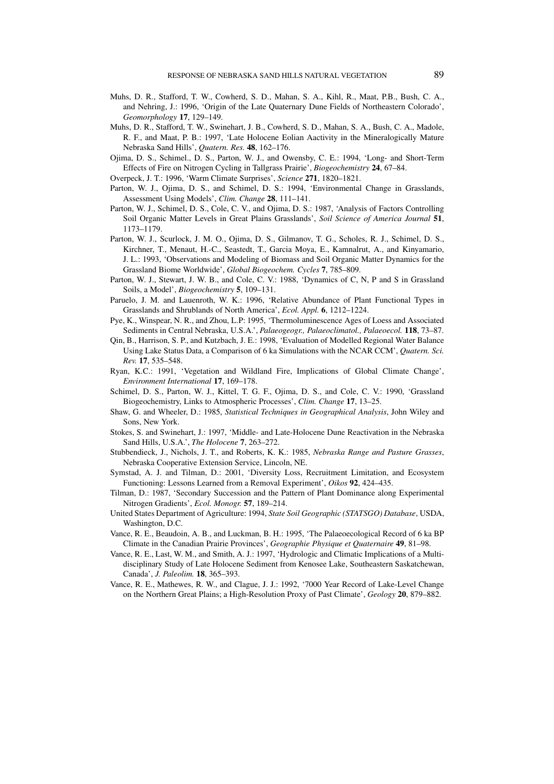- Muhs, D. R., Stafford, T. W., Cowherd, S. D., Mahan, S. A., Kihl, R., Maat, P.B., Bush, C. A., and Nehring, J.: 1996, 'Origin of the Late Quaternary Dune Fields of Northeastern Colorado', *Geomorphology* **17**, 129–149.
- Muhs, D. R., Stafford, T. W., Swinehart, J. B., Cowherd, S. D., Mahan, S. A., Bush, C. A., Madole, R. F., and Maat, P. B.: 1997, 'Late Holocene Eolian Aactivity in the Mineralogically Mature Nebraska Sand Hills', *Quatern. Res.* **48**, 162–176.
- Ojima, D. S., Schimel., D. S., Parton, W. J., and Owensby, C. E.: 1994, 'Long- and Short-Term Effects of Fire on Nitrogen Cycling in Tallgrass Prairie', *Biogeochemistry* **24**, 67–84.
- Overpeck, J. T.: 1996, 'Warm Climate Surprises', *Science* **271**, 1820–1821.
- Parton, W. J., Ojima, D. S., and Schimel, D. S.: 1994, 'Environmental Change in Grasslands, Assessment Using Models', *Clim. Change* **28**, 111–141.
- Parton, W. J., Schimel, D. S., Cole, C. V., and Ojima, D. S.: 1987, 'Analysis of Factors Controlling Soil Organic Matter Levels in Great Plains Grasslands', *Soil Science of America Journal* **51**, 1173–1179.
- Parton, W. J., Scurlock, J. M. O., Ojima, D. S., Gilmanov, T. G., Scholes, R. J., Schimel, D. S., Kirchner, T., Menaut, H.-C., Seastedt, T., Garcia Moya, E., Kamnalrut, A., and Kinyamario, J. L.: 1993, 'Observations and Modeling of Biomass and Soil Organic Matter Dynamics for the Grassland Biome Worldwide', *Global Biogeochem. Cycles* **7**, 785–809.
- Parton, W. J., Stewart, J. W. B., and Cole, C. V.: 1988, 'Dynamics of C, N, P and S in Grassland Soils, a Model', *Biogeochemistry* **5**, 109–131.
- Paruelo, J. M. and Lauenroth, W. K.: 1996, 'Relative Abundance of Plant Functional Types in Grasslands and Shrublands of North America', *Ecol. Appl.* **6**, 1212–1224.
- Pye, K., Winspear, N. R., and Zhou, L.P: 1995, 'Thermoluminescence Ages of Loess and Associated Sediments in Central Nebraska, U.S.A.', *Palaeogeogr., Palaeoclimatol., Palaeoecol.* **118**, 73–87.
- Qin, B., Harrison, S. P., and Kutzbach, J. E.: 1998, 'Evaluation of Modelled Regional Water Balance Using Lake Status Data, a Comparison of 6 ka Simulations with the NCAR CCM', *Quatern. Sci. Rev.* **17**, 535–548.
- Ryan, K.C.: 1991, 'Vegetation and Wildland Fire, Implications of Global Climate Change', *Environment International* **17**, 169–178.
- Schimel, D. S., Parton, W. J., Kittel, T. G. F., Ojima, D. S., and Cole, C. V.: 1990, 'Grassland Biogeochemistry, Links to Atmospheric Processes', *Clim. Change* **17**, 13–25.
- Shaw, G. and Wheeler, D.: 1985, *Statistical Techniques in Geographical Analysis*, John Wiley and Sons, New York.
- Stokes, S. and Swinehart, J.: 1997, 'Middle- and Late-Holocene Dune Reactivation in the Nebraska Sand Hills, U.S.A.', *The Holocene* **7**, 263–272.
- Stubbendieck, J., Nichols, J. T., and Roberts, K. K.: 1985, *Nebraska Range and Pasture Grasses*, Nebraska Cooperative Extension Service, Lincoln, NE.
- Symstad, A. J. and Tilman, D.: 2001, 'Diversity Loss, Recruitment Limitation, and Ecosystem Functioning: Lessons Learned from a Removal Experiment', *Oikos* **92**, 424–435.
- Tilman, D.: 1987, 'Secondary Succession and the Pattern of Plant Dominance along Experimental Nitrogen Gradients', *Ecol. Monogr.* **57**, 189–214.
- United States Department of Agriculture: 1994, *State Soil Geographic (STATSGO) Database*, USDA, Washington, D.C.
- Vance, R. E., Beaudoin, A. B., and Luckman, B. H.: 1995, 'The Palaeoecological Record of 6 ka BP Climate in the Canadian Prairie Provinces', *Geographie Physique et Quaternaire* **49**, 81–98.
- Vance, R. E., Last, W. M., and Smith, A. J.: 1997, 'Hydrologic and Climatic Implications of a Multidisciplinary Study of Late Holocene Sediment from Kenosee Lake, Southeastern Saskatchewan, Canada', *J. Paleolim.* **18**, 365–393.
- Vance, R. E., Mathewes, R. W., and Clague, J. J.: 1992, '7000 Year Record of Lake-Level Change on the Northern Great Plains; a High-Resolution Proxy of Past Climate', *Geology* **20**, 879–882.